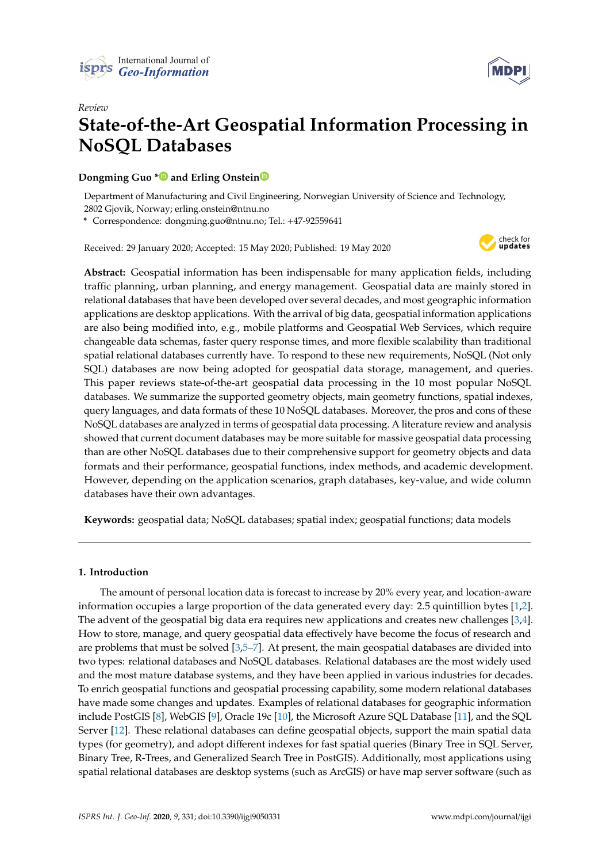



# *Review* **State-of-the-Art Geospatial Information Processing in NoSQL Databases**

# **Dongming Guo [\\*](https://orcid.org/0000-0001-5357-8410) and Erling Onstei[n](https://orcid.org/0000-0002-5447-7563)**

Department of Manufacturing and Civil Engineering, Norwegian University of Science and Technology, 2802 Gjovik, Norway; erling.onstein@ntnu.no

**\*** Correspondence: dongming.guo@ntnu.no; Tel.: +47-92559641

Received: 29 January 2020; Accepted: 15 May 2020; Published: 19 May 2020



**Abstract:** Geospatial information has been indispensable for many application fields, including traffic planning, urban planning, and energy management. Geospatial data are mainly stored in relational databases that have been developed over several decades, and most geographic information applications are desktop applications. With the arrival of big data, geospatial information applications are also being modified into, e.g., mobile platforms and Geospatial Web Services, which require changeable data schemas, faster query response times, and more flexible scalability than traditional spatial relational databases currently have. To respond to these new requirements, NoSQL (Not only SQL) databases are now being adopted for geospatial data storage, management, and queries. This paper reviews state-of-the-art geospatial data processing in the 10 most popular NoSQL databases. We summarize the supported geometry objects, main geometry functions, spatial indexes, query languages, and data formats of these 10 NoSQL databases. Moreover, the pros and cons of these NoSQL databases are analyzed in terms of geospatial data processing. A literature review and analysis showed that current document databases may be more suitable for massive geospatial data processing than are other NoSQL databases due to their comprehensive support for geometry objects and data formats and their performance, geospatial functions, index methods, and academic development. However, depending on the application scenarios, graph databases, key-value, and wide column databases have their own advantages.

**Keywords:** geospatial data; NoSQL databases; spatial index; geospatial functions; data models

## **1. Introduction**

The amount of personal location data is forecast to increase by 20% every year, and location-aware information occupies a large proportion of the data generated every day: 2.5 quintillion bytes [\[1,](#page-14-0)[2\]](#page-14-1). The advent of the geospatial big data era requires new applications and creates new challenges [\[3,](#page-14-2)[4\]](#page-14-3). How to store, manage, and query geospatial data effectively have become the focus of research and are problems that must be solved [\[3,](#page-14-2)[5](#page-14-4)[–7\]](#page-15-0). At present, the main geospatial databases are divided into two types: relational databases and NoSQL databases. Relational databases are the most widely used and the most mature database systems, and they have been applied in various industries for decades. To enrich geospatial functions and geospatial processing capability, some modern relational databases have made some changes and updates. Examples of relational databases for geographic information include PostGIS [\[8\]](#page-15-1), WebGIS [\[9\]](#page-15-2), Oracle 19c [\[10\]](#page-15-3), the Microsoft Azure SQL Database [\[11\]](#page-15-4), and the SQL Server [\[12\]](#page-15-5). These relational databases can define geospatial objects, support the main spatial data types (for geometry), and adopt different indexes for fast spatial queries (Binary Tree in SQL Server, Binary Tree, R-Trees, and Generalized Search Tree in PostGIS). Additionally, most applications using spatial relational databases are desktop systems (such as ArcGIS) or have map server software (such as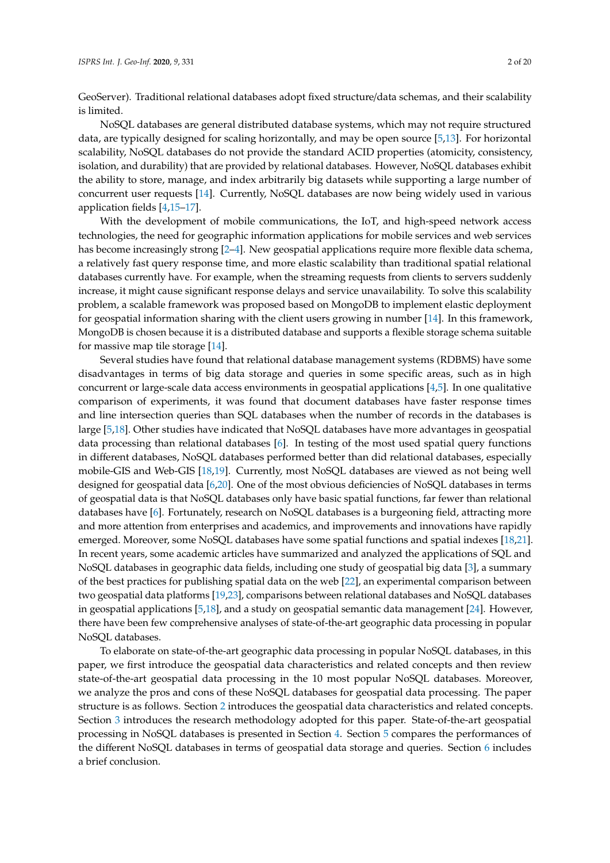GeoServer). Traditional relational databases adopt fixed structure/data schemas, and their scalability is limited.

NoSQL databases are general distributed database systems, which may not require structured data, are typically designed for scaling horizontally, and may be open source [\[5](#page-14-4)[,13\]](#page-15-6). For horizontal scalability, NoSQL databases do not provide the standard ACID properties (atomicity, consistency, isolation, and durability) that are provided by relational databases. However, NoSQL databases exhibit the ability to store, manage, and index arbitrarily big datasets while supporting a large number of concurrent user requests [\[14\]](#page-15-7). Currently, NoSQL databases are now being widely used in various application fields [\[4](#page-14-3)[,15–](#page-15-8)[17\]](#page-15-9).

With the development of mobile communications, the IoT, and high-speed network access technologies, the need for geographic information applications for mobile services and web services has become increasingly strong [\[2](#page-14-1)[–4\]](#page-14-3). New geospatial applications require more flexible data schema, a relatively fast query response time, and more elastic scalability than traditional spatial relational databases currently have. For example, when the streaming requests from clients to servers suddenly increase, it might cause significant response delays and service unavailability. To solve this scalability problem, a scalable framework was proposed based on MongoDB to implement elastic deployment for geospatial information sharing with the client users growing in number [\[14\]](#page-15-7). In this framework, MongoDB is chosen because it is a distributed database and supports a flexible storage schema suitable for massive map tile storage [\[14\]](#page-15-7).

Several studies have found that relational database management systems (RDBMS) have some disadvantages in terms of big data storage and queries in some specific areas, such as in high concurrent or large-scale data access environments in geospatial applications [\[4](#page-14-3)[,5\]](#page-14-4). In one qualitative comparison of experiments, it was found that document databases have faster response times and line intersection queries than SQL databases when the number of records in the databases is large [\[5](#page-14-4)[,18\]](#page-15-10). Other studies have indicated that NoSQL databases have more advantages in geospatial data processing than relational databases [\[6\]](#page-15-11). In testing of the most used spatial query functions in different databases, NoSQL databases performed better than did relational databases, especially mobile-GIS and Web-GIS [\[18](#page-15-10)[,19\]](#page-15-12). Currently, most NoSQL databases are viewed as not being well designed for geospatial data [\[6](#page-15-11)[,20\]](#page-15-13). One of the most obvious deficiencies of NoSQL databases in terms of geospatial data is that NoSQL databases only have basic spatial functions, far fewer than relational databases have [\[6\]](#page-15-11). Fortunately, research on NoSQL databases is a burgeoning field, attracting more and more attention from enterprises and academics, and improvements and innovations have rapidly emerged. Moreover, some NoSQL databases have some spatial functions and spatial indexes [\[18,](#page-15-10)[21\]](#page-15-14). In recent years, some academic articles have summarized and analyzed the applications of SQL and NoSQL databases in geographic data fields, including one study of geospatial big data [\[3\]](#page-14-2), a summary of the best practices for publishing spatial data on the web [\[22\]](#page-15-15), an experimental comparison between two geospatial data platforms [\[19](#page-15-12)[,23\]](#page-15-16), comparisons between relational databases and NoSQL databases in geospatial applications  $[5,18]$  $[5,18]$ , and a study on geospatial semantic data management  $[24]$ . However, there have been few comprehensive analyses of state-of-the-art geographic data processing in popular NoSQL databases.

To elaborate on state-of-the-art geographic data processing in popular NoSQL databases, in this paper, we first introduce the geospatial data characteristics and related concepts and then review state-of-the-art geospatial data processing in the 10 most popular NoSQL databases. Moreover, we analyze the pros and cons of these NoSQL databases for geospatial data processing. The paper structure is as follows. Section [2](#page-2-0) introduces the geospatial data characteristics and related concepts. Section [3](#page-3-0) introduces the research methodology adopted for this paper. State-of-the-art geospatial processing in NoSQL databases is presented in Section [4.](#page-3-1) Section [5](#page-11-0) compares the performances of the different NoSQL databases in terms of geospatial data storage and queries. Section [6](#page-14-5) includes a brief conclusion.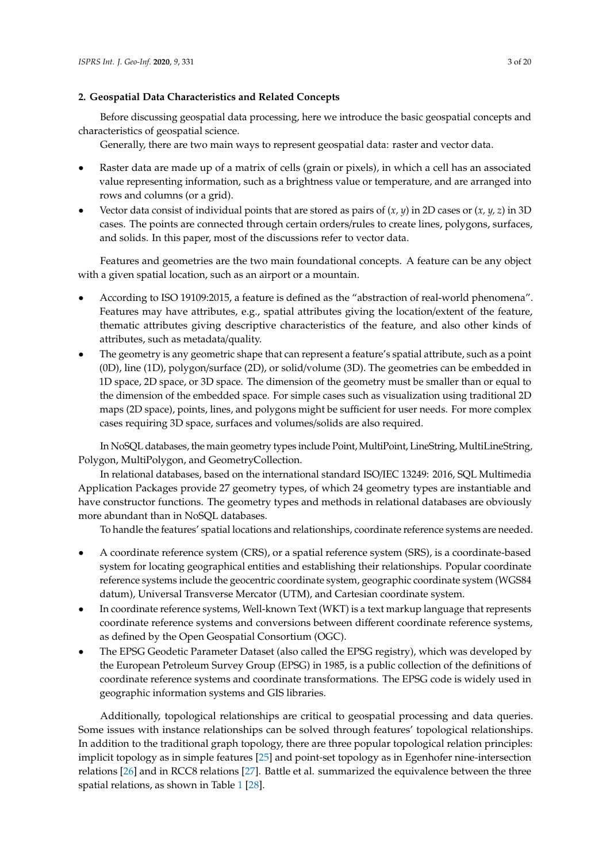## <span id="page-2-0"></span>**2. Geospatial Data Characteristics and Related Concepts**

Before discussing geospatial data processing, here we introduce the basic geospatial concepts and characteristics of geospatial science.

Generally, there are two main ways to represent geospatial data: raster and vector data.

- Raster data are made up of a matrix of cells (grain or pixels), in which a cell has an associated value representing information, such as a brightness value or temperature, and are arranged into rows and columns (or a grid).
- Vector data consist of individual points that are stored as pairs of  $(x, y)$  in 2D cases or  $(x, y, z)$  in 3D cases. The points are connected through certain orders/rules to create lines, polygons, surfaces, and solids. In this paper, most of the discussions refer to vector data.

Features and geometries are the two main foundational concepts. A feature can be any object with a given spatial location, such as an airport or a mountain.

- According to ISO 19109:2015, a feature is defined as the "abstraction of real-world phenomena". Features may have attributes, e.g., spatial attributes giving the location/extent of the feature, thematic attributes giving descriptive characteristics of the feature, and also other kinds of attributes, such as metadata/quality.
- The geometry is any geometric shape that can represent a feature's spatial attribute, such as a point (0D), line (1D), polygon/surface (2D), or solid/volume (3D). The geometries can be embedded in 1D space, 2D space, or 3D space. The dimension of the geometry must be smaller than or equal to the dimension of the embedded space. For simple cases such as visualization using traditional 2D maps (2D space), points, lines, and polygons might be sufficient for user needs. For more complex cases requiring 3D space, surfaces and volumes/solids are also required.

In NoSQL databases, the main geometry types include Point, MultiPoint, LineString, MultiLineString, Polygon, MultiPolygon, and GeometryCollection.

In relational databases, based on the international standard ISO/IEC 13249: 2016, SQL Multimedia Application Packages provide 27 geometry types, of which 24 geometry types are instantiable and have constructor functions. The geometry types and methods in relational databases are obviously more abundant than in NoSQL databases.

To handle the features' spatial locations and relationships, coordinate reference systems are needed.

- A coordinate reference system (CRS), or a spatial reference system (SRS), is a coordinate-based system for locating geographical entities and establishing their relationships. Popular coordinate reference systems include the geocentric coordinate system, geographic coordinate system (WGS84 datum), Universal Transverse Mercator (UTM), and Cartesian coordinate system.
- In coordinate reference systems, Well-known Text (WKT) is a text markup language that represents coordinate reference systems and conversions between different coordinate reference systems, as defined by the Open Geospatial Consortium (OGC).
- The EPSG Geodetic Parameter Dataset (also called the EPSG registry), which was developed by the European Petroleum Survey Group (EPSG) in 1985, is a public collection of the definitions of coordinate reference systems and coordinate transformations. The EPSG code is widely used in geographic information systems and GIS libraries.

Additionally, topological relationships are critical to geospatial processing and data queries. Some issues with instance relationships can be solved through features' topological relationships. In addition to the traditional graph topology, there are three popular topological relation principles: implicit topology as in simple features [\[25\]](#page-15-18) and point-set topology as in Egenhofer nine-intersection relations [\[26\]](#page-15-19) and in RCC8 relations [\[27\]](#page-16-0). Battle et al. summarized the equivalence between the three spatial relations, as shown in Table [1](#page-3-2) [\[28\]](#page-16-1).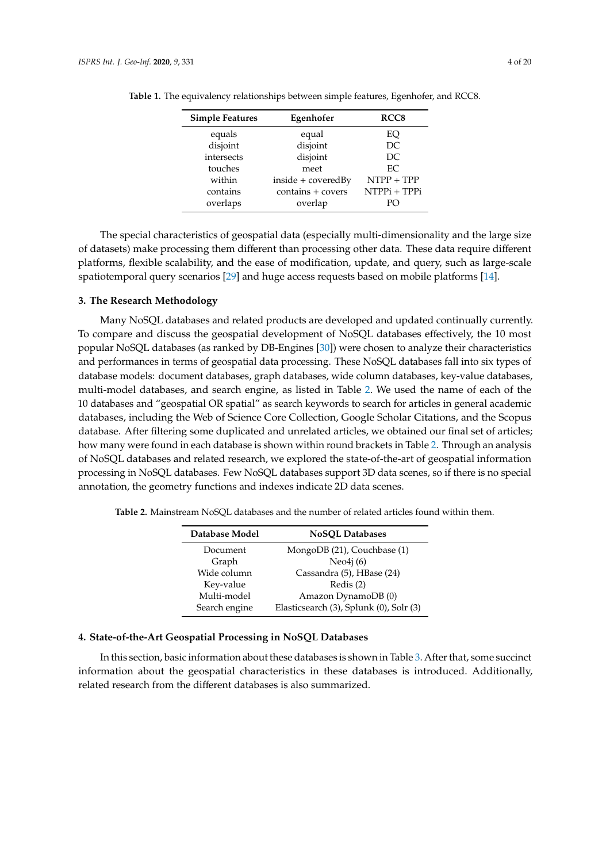| Egenhofer<br><b>Simple Features</b> |                    | RCC <sub>8</sub> |  |
|-------------------------------------|--------------------|------------------|--|
| equals                              | equal              | EQ               |  |
| disjoint                            | disjoint           | DC               |  |
| intersects                          | disjoint           | DC               |  |
| touches                             | meet               | EC.              |  |
| within                              | inside + coveredBy | NTPP + TPP       |  |
| contains                            | contains + covers  | NTPPi + TPPi     |  |
| overlaps                            | overlap            | PO               |  |

<span id="page-3-2"></span>**Table 1.** The equivalency relationships between simple features, Egenhofer, and RCC8.

The special characteristics of geospatial data (especially multi-dimensionality and the large size of datasets) make processing them different than processing other data. These data require different platforms, flexible scalability, and the ease of modification, update, and query, such as large-scale spatiotemporal query scenarios [\[29\]](#page-16-2) and huge access requests based on mobile platforms [\[14\]](#page-15-7).

#### <span id="page-3-0"></span>**3. The Research Methodology**

Many NoSQL databases and related products are developed and updated continually currently. To compare and discuss the geospatial development of NoSQL databases effectively, the 10 most popular NoSQL databases (as ranked by DB-Engines [\[30\]](#page-16-3)) were chosen to analyze their characteristics and performances in terms of geospatial data processing. These NoSQL databases fall into six types of database models: document databases, graph databases, wide column databases, key-value databases, multi-model databases, and search engine, as listed in Table [2.](#page-3-3) We used the name of each of the 10 databases and "geospatial OR spatial" as search keywords to search for articles in general academic databases, including the Web of Science Core Collection, Google Scholar Citations, and the Scopus database. After filtering some duplicated and unrelated articles, we obtained our final set of articles; how many were found in each database is shown within round brackets in Table [2.](#page-3-3) Through an analysis of NoSQL databases and related research, we explored the state-of-the-art of geospatial information processing in NoSQL databases. Few NoSQL databases support 3D data scenes, so if there is no special annotation, the geometry functions and indexes indicate 2D data scenes.

| Database Model | <b>NoSQL Databases</b>                  |
|----------------|-----------------------------------------|
| Document       | MongoDB (21), Couchbase (1)             |
| Graph          | Neo $4i(6)$                             |
| Wide column    | Cassandra (5), HBase (24)               |
| Key-value      | Redis $(2)$                             |
| Multi-model    | Amazon DynamoDB (0)                     |
| Search engine  | Elasticsearch (3), Splunk (0), Solr (3) |

<span id="page-3-3"></span>**Table 2.** Mainstream NoSQL databases and the number of related articles found within them.

# <span id="page-3-1"></span>**4. State-of-the-Art Geospatial Processing in NoSQL Databases**

In this section, basic information about these databases is shown in Table [3.](#page-4-0) After that, some succinct information about the geospatial characteristics in these databases is introduced. Additionally, related research from the different databases is also summarized.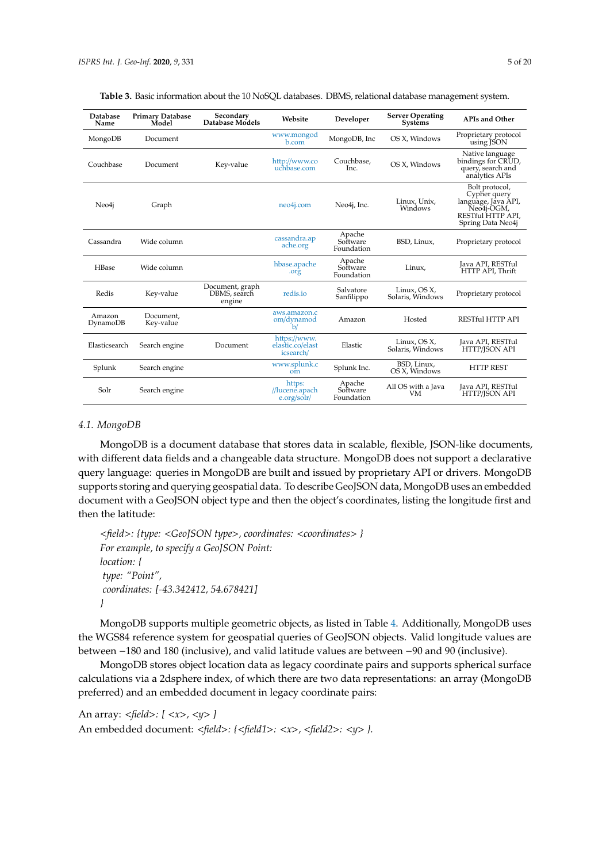| Table 3. Basic information about the 10 NoSQL databases. DBMS, relational database management system. |  |
|-------------------------------------------------------------------------------------------------------|--|
|-------------------------------------------------------------------------------------------------------|--|

<span id="page-4-0"></span>

| <b>Database</b><br>Name | <b>Primary Database</b><br>Model | Secondary<br>Database Models              | Website                                       | Developer                        | <b>Server Operating</b><br><b>Systems</b> | <b>APIs and Other</b>                                                                                         |
|-------------------------|----------------------------------|-------------------------------------------|-----------------------------------------------|----------------------------------|-------------------------------------------|---------------------------------------------------------------------------------------------------------------|
| MongoDB                 | Document                         |                                           | www.mongod<br>b.com                           | MongoDB, Inc                     | OS X, Windows                             | Proprietary protocol<br>using JSON                                                                            |
| Couchbase               | Document                         | Key-value                                 | http://www.co<br>uchbase.com                  | Couchbase,<br>Inc.               | OS X, Windows                             | Native language<br>bindings for CRUD,<br>query, search and<br>analytics APIs                                  |
| Neo4j                   | Graph                            |                                           | neo4j.com                                     | Neo4j, Inc.                      | Linux, Unix,<br>Windows                   | Bolt protocol,<br>Cypher query<br>language, Java API,<br>Neo4j-OGM,<br>RESTful HTTP API,<br>Spring Data Neo4j |
| Cassandra               | Wide column                      |                                           | cassandra.ap<br>ache.org                      | Apache<br>Software<br>Foundation | BSD, Linux,                               | Proprietary protocol                                                                                          |
| HBase                   | Wide column                      |                                           | hbase.apache<br>.org                          | Apache<br>Software<br>Foundation | Linux.                                    | Java API, RESTful<br>HTTP API, Thrift                                                                         |
| Redis                   | Key-value                        | Document, graph<br>DBMS, search<br>engine | redis.io                                      | Salvatore<br>Sanfilippo          | Linux, OS X,<br>Solaris, Windows          | Proprietary protocol                                                                                          |
| Amazon<br>DynamoDB      | Document.<br>Key-value           |                                           | aws.amazon.c<br>om/dynamod<br>b/              | Amazon                           | Hosted                                    | RESTful HTTP API                                                                                              |
| Elasticsearch           | Search engine                    | Document                                  | https://www.<br>elastic.co/elast<br>icsearch/ | Elastic                          | Linux, OS X,<br>Solaris, Windows          | Java API, RESTful<br>HTTP/ISON API                                                                            |
| Splunk                  | Search engine                    |                                           | www.splunk.c<br>$om$                          | Splunk Inc.                      | BSD, Linux,<br>OS X, Windows              | <b>HTTP REST</b>                                                                                              |
| Solr                    | Search engine                    |                                           | https:<br>//lucene.apach<br>e.org/solr/       | Apache<br>Software<br>Foundation | All OS with a Java<br>VМ                  | Java API, RESTful<br>HTTP/ISON API                                                                            |

#### *4.1. MongoDB*

MongoDB is a document database that stores data in scalable, flexible, JSON-like documents, with different data fields and a changeable data structure. MongoDB does not support a declarative query language: queries in MongoDB are built and issued by proprietary API or drivers. MongoDB supports storing and querying geospatial data. To describe GeoJSON data, MongoDB uses an embedded document with a GeoJSON object type and then the object's coordinates, listing the longitude first and then the latitude:

```
<field>: {type: <GeoJSON type>, coordinates: <coordinates> }
For example, to specify a GeoJSON Point:
location: {
type: "Point",
coordinates: [-43.342412, 54.678421]
}
```
MongoDB supports multiple geometric objects, as listed in Table [4.](#page-5-0) Additionally, MongoDB uses the WGS84 reference system for geospatial queries of GeoJSON objects. Valid longitude values are between −180 and 180 (inclusive), and valid latitude values are between −90 and 90 (inclusive).

MongoDB stores object location data as legacy coordinate pairs and supports spherical surface calculations via a 2dsphere index, of which there are two data representations: an array (MongoDB preferred) and an embedded document in legacy coordinate pairs:

```
An array: <field>: [ <x>, <y> ]
An embedded document: <field>: {<field1>: <x>, <field2>: <y> }.
```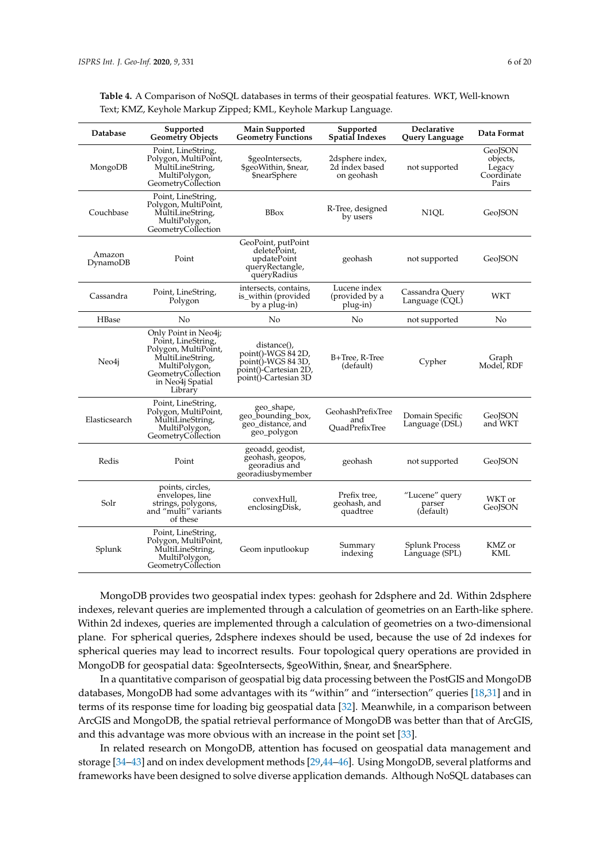| Database           | Supported<br><b>Geometry Objects</b>                                                                                                                         | <b>Main Supported</b><br><b>Geometry Functions</b>                                                       | Supported<br><b>Spatial Indexes</b>             | Declarative<br>Query Language         | Data Format                                          |
|--------------------|--------------------------------------------------------------------------------------------------------------------------------------------------------------|----------------------------------------------------------------------------------------------------------|-------------------------------------------------|---------------------------------------|------------------------------------------------------|
| MongoDB            | Point, LineString,<br>Polygon, MultiPoint,<br>MultiLineString,<br>MultiPolygon,<br>GeometryCollection                                                        | \$geoIntersects,<br>\$geoWithin, \$near,<br>\$nearSphere                                                 | 2dsphere index,<br>2d index based<br>on geohash | not supported                         | GeoJSON<br>objects,<br>Legacy<br>Coordinate<br>Pairs |
| Couchbase          | Point, LineString,<br>Polygon, MultiPoint,<br>MultiLineString,<br>MultiPolygon,<br>GeometryCollection                                                        | <b>BBox</b>                                                                                              | R-Tree, designed<br>by users                    | N1QL                                  | GeoJSON                                              |
| Amazon<br>DynamoDB | Point                                                                                                                                                        | GeoPoint, putPoint<br>deletePoint,<br>updatePoint<br>queryRectangle,<br>queryRadius                      | geohash                                         | not supported                         | GeoJSON                                              |
| Cassandra          | Point, LineString,<br>Polygon                                                                                                                                | intersects, contains,<br>is_within (provided<br>by a plug-in)                                            | Lucene index<br>(provided by a<br>plug-in)      | Cassandra Query<br>Language (CQL)     | WKT                                                  |
| HBase              | No                                                                                                                                                           | No                                                                                                       | No                                              | not supported                         | No                                                   |
| Neo4j              | Only Point in Neo4j;<br>Point, LineString,<br>Polygon, MultiPoint,<br>MultiLineString,<br>MultiPolygon,<br>GeometryCollection<br>in Neo4j Spatial<br>Library | distance(),<br>point()-WGS 84 2D,<br>point()-WGS 84 3D,<br>point()-Cartesian 2D,<br>point()-Cartesian 3D | B+Tree, R-Tree<br>(default)                     | Cypher                                | Graph<br>Model, RDF                                  |
| Elasticsearch      | Point, LineString,<br>Polygon, MultiPoint,<br>MultiLineString,<br>MultiPolygon,<br>GeometryCollection                                                        | geo_shape,<br>geo_bounding_box,<br>geo_distance, and<br>geo_polygon                                      | GeohashPrefixTree<br>and<br>OuadPrefixTree      | Domain Specific<br>Language (DSL)     | GeoJSON<br>and WKT                                   |
| Redis              | Point                                                                                                                                                        | geoadd, geodist,<br>geohash, geopos,<br>georadius and<br>georadiusbymember                               | geohash                                         | not supported                         | GeoJSON                                              |
| Solr               | points, circles,<br>envelopes, line<br>strings, polygons,<br>and "multi" variants<br>of these                                                                | convexHull,<br>enclosingDisk,                                                                            | Prefix tree,<br>geohash, and<br>quadtree        | "Lucene" query<br>parser<br>(default) | WKT or<br>GeoISON                                    |
| Splunk             | Point, LineString,<br>Polygon, MultiPoint,<br>MultiLineString,<br>MultiPolygon,<br>GeometryCollection                                                        | Geom inputlookup                                                                                         | Summary<br>indexing                             | Splunk Process<br>Language (SPL)      | KMZ or<br>KML                                        |

<span id="page-5-0"></span>**Table 4.** A Comparison of NoSQL databases in terms of their geospatial features. WKT, Well-known Text; KMZ, Keyhole Markup Zipped; KML, Keyhole Markup Language.

MongoDB provides two geospatial index types: geohash for 2dsphere and 2d. Within 2dsphere indexes, relevant queries are implemented through a calculation of geometries on an Earth-like sphere. Within 2d indexes, queries are implemented through a calculation of geometries on a two-dimensional plane. For spherical queries, 2dsphere indexes should be used, because the use of 2d indexes for spherical queries may lead to incorrect results. Four topological query operations are provided in MongoDB for geospatial data: \$geoIntersects, \$geoWithin, \$near, and \$nearSphere.

In a quantitative comparison of geospatial big data processing between the PostGIS and MongoDB databases, MongoDB had some advantages with its "within" and "intersection" queries [\[18](#page-15-10)[,31\]](#page-16-4) and in terms of its response time for loading big geospatial data [\[32\]](#page-16-5). Meanwhile, in a comparison between ArcGIS and MongoDB, the spatial retrieval performance of MongoDB was better than that of ArcGIS, and this advantage was more obvious with an increase in the point set [\[33\]](#page-16-6).

In related research on MongoDB, attention has focused on geospatial data management and storage [\[34](#page-16-7)[–43\]](#page-16-8) and on index development methods [\[29](#page-16-2)[,44](#page-16-9)[–46\]](#page-16-10). Using MongoDB, several platforms and frameworks have been designed to solve diverse application demands. Although NoSQL databases can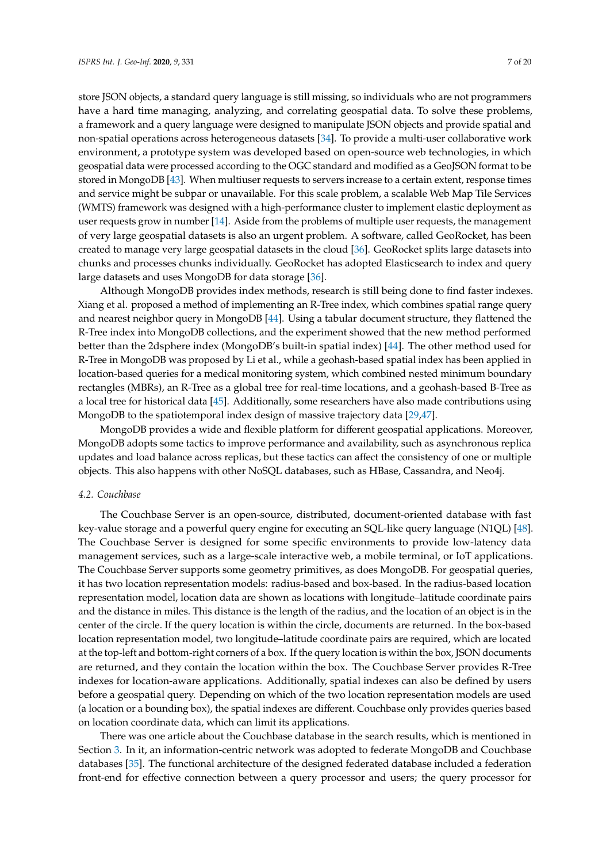store JSON objects, a standard query language is still missing, so individuals who are not programmers have a hard time managing, analyzing, and correlating geospatial data. To solve these problems, a framework and a query language were designed to manipulate JSON objects and provide spatial and non-spatial operations across heterogeneous datasets [\[34\]](#page-16-7). To provide a multi-user collaborative work environment, a prototype system was developed based on open-source web technologies, in which geospatial data were processed according to the OGC standard and modified as a GeoJSON format to be stored in MongoDB [\[43\]](#page-16-8). When multiuser requests to servers increase to a certain extent, response times and service might be subpar or unavailable. For this scale problem, a scalable Web Map Tile Services (WMTS) framework was designed with a high-performance cluster to implement elastic deployment as user requests grow in number [\[14\]](#page-15-7). Aside from the problems of multiple user requests, the management of very large geospatial datasets is also an urgent problem. A software, called GeoRocket, has been created to manage very large geospatial datasets in the cloud [\[36\]](#page-16-11). GeoRocket splits large datasets into chunks and processes chunks individually. GeoRocket has adopted Elasticsearch to index and query large datasets and uses MongoDB for data storage [\[36\]](#page-16-11).

Although MongoDB provides index methods, research is still being done to find faster indexes. Xiang et al. proposed a method of implementing an R-Tree index, which combines spatial range query and nearest neighbor query in MongoDB [\[44\]](#page-16-9). Using a tabular document structure, they flattened the R-Tree index into MongoDB collections, and the experiment showed that the new method performed better than the 2dsphere index (MongoDB's built-in spatial index) [\[44\]](#page-16-9). The other method used for R-Tree in MongoDB was proposed by Li et al., while a geohash-based spatial index has been applied in location-based queries for a medical monitoring system, which combined nested minimum boundary rectangles (MBRs), an R-Tree as a global tree for real-time locations, and a geohash-based B-Tree as a local tree for historical data [\[45\]](#page-16-12). Additionally, some researchers have also made contributions using MongoDB to the spatiotemporal index design of massive trajectory data [\[29](#page-16-2)[,47\]](#page-16-13).

MongoDB provides a wide and flexible platform for different geospatial applications. Moreover, MongoDB adopts some tactics to improve performance and availability, such as asynchronous replica updates and load balance across replicas, but these tactics can affect the consistency of one or multiple objects. This also happens with other NoSQL databases, such as HBase, Cassandra, and Neo4j.

#### *4.2. Couchbase*

The Couchbase Server is an open-source, distributed, document-oriented database with fast key-value storage and a powerful query engine for executing an SQL-like query language (N1QL) [\[48\]](#page-17-0). The Couchbase Server is designed for some specific environments to provide low-latency data management services, such as a large-scale interactive web, a mobile terminal, or IoT applications. The Couchbase Server supports some geometry primitives, as does MongoDB. For geospatial queries, it has two location representation models: radius-based and box-based. In the radius-based location representation model, location data are shown as locations with longitude–latitude coordinate pairs and the distance in miles. This distance is the length of the radius, and the location of an object is in the center of the circle. If the query location is within the circle, documents are returned. In the box-based location representation model, two longitude–latitude coordinate pairs are required, which are located at the top-left and bottom-right corners of a box. If the query location is within the box, JSON documents are returned, and they contain the location within the box. The Couchbase Server provides R-Tree indexes for location-aware applications. Additionally, spatial indexes can also be defined by users before a geospatial query. Depending on which of the two location representation models are used (a location or a bounding box), the spatial indexes are different. Couchbase only provides queries based on location coordinate data, which can limit its applications.

There was one article about the Couchbase database in the search results, which is mentioned in Section [3.](#page-3-0) In it, an information-centric network was adopted to federate MongoDB and Couchbase databases [\[35\]](#page-16-14). The functional architecture of the designed federated database included a federation front-end for effective connection between a query processor and users; the query processor for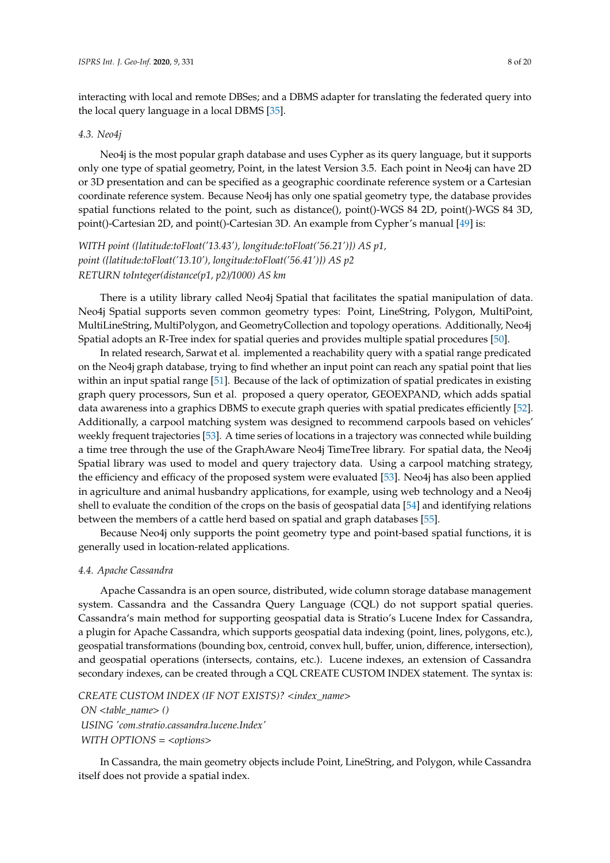interacting with local and remote DBSes; and a DBMS adapter for translating the federated query into the local query language in a local DBMS [\[35\]](#page-16-14).

#### *4.3. Neo4j*

Neo4j is the most popular graph database and uses Cypher as its query language, but it supports only one type of spatial geometry, Point, in the latest Version 3.5. Each point in Neo4j can have 2D or 3D presentation and can be specified as a geographic coordinate reference system or a Cartesian coordinate reference system. Because Neo4j has only one spatial geometry type, the database provides spatial functions related to the point, such as distance(), point()-WGS 84 2D, point()-WGS 84 3D, point()-Cartesian 2D, and point()-Cartesian 3D. An example from Cypher's manual [\[49\]](#page-17-1) is:

*WITH point ({latitude:toFloat('13.43'), longitude:toFloat('56.21')}) AS p1, point ({latitude:toFloat('13.10'), longitude:toFloat('56.41')}) AS p2 RETURN toInteger(distance(p1, p2)*/*1000) AS km*

There is a utility library called Neo4j Spatial that facilitates the spatial manipulation of data. Neo4j Spatial supports seven common geometry types: Point, LineString, Polygon, MultiPoint, MultiLineString, MultiPolygon, and GeometryCollection and topology operations. Additionally, Neo4j Spatial adopts an R-Tree index for spatial queries and provides multiple spatial procedures [\[50\]](#page-17-2).

In related research, Sarwat et al. implemented a reachability query with a spatial range predicated on the Neo4j graph database, trying to find whether an input point can reach any spatial point that lies within an input spatial range [\[51\]](#page-17-3). Because of the lack of optimization of spatial predicates in existing graph query processors, Sun et al. proposed a query operator, GEOEXPAND, which adds spatial data awareness into a graphics DBMS to execute graph queries with spatial predicates efficiently [\[52\]](#page-17-4). Additionally, a carpool matching system was designed to recommend carpools based on vehicles' weekly frequent trajectories [\[53\]](#page-17-5). A time series of locations in a trajectory was connected while building a time tree through the use of the GraphAware Neo4j TimeTree library. For spatial data, the Neo4j Spatial library was used to model and query trajectory data. Using a carpool matching strategy, the efficiency and efficacy of the proposed system were evaluated [\[53\]](#page-17-5). Neo4j has also been applied in agriculture and animal husbandry applications, for example, using web technology and a Neo4j shell to evaluate the condition of the crops on the basis of geospatial data [\[54\]](#page-17-6) and identifying relations between the members of a cattle herd based on spatial and graph databases [\[55\]](#page-17-7).

Because Neo4j only supports the point geometry type and point-based spatial functions, it is generally used in location-related applications.

#### *4.4. Apache Cassandra*

Apache Cassandra is an open source, distributed, wide column storage database management system. Cassandra and the Cassandra Query Language (CQL) do not support spatial queries. Cassandra's main method for supporting geospatial data is Stratio's Lucene Index for Cassandra, a plugin for Apache Cassandra, which supports geospatial data indexing (point, lines, polygons, etc.), geospatial transformations (bounding box, centroid, convex hull, buffer, union, difference, intersection), and geospatial operations (intersects, contains, etc.). Lucene indexes, an extension of Cassandra secondary indexes, can be created through a CQL CREATE CUSTOM INDEX statement. The syntax is:

*CREATE CUSTOM INDEX (IF NOT EXISTS)?* <*index\_name*> *ON* <*table\_name*> *()*

*USING 'com.stratio.cassandra.lucene.Index' WITH OPTIONS* = <*options*>

In Cassandra, the main geometry objects include Point, LineString, and Polygon, while Cassandra itself does not provide a spatial index.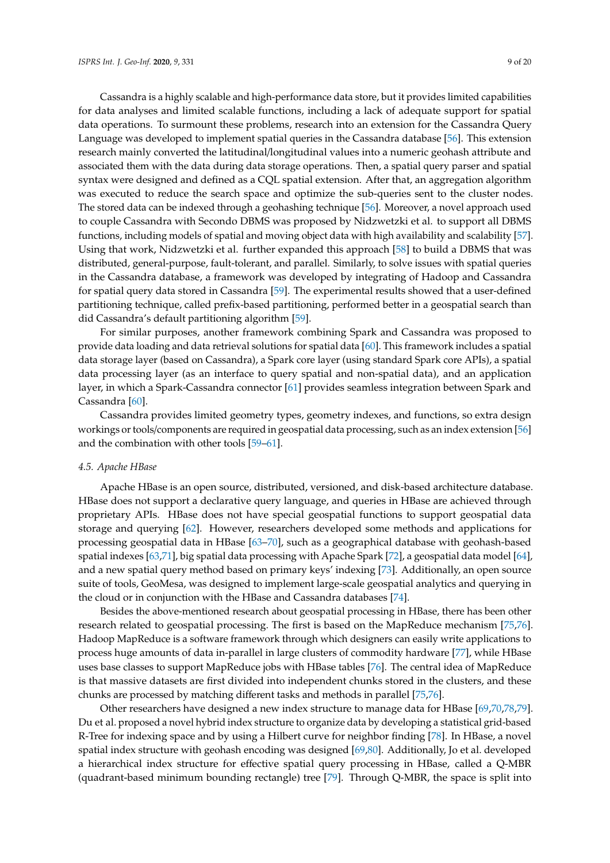Cassandra is a highly scalable and high-performance data store, but it provides limited capabilities for data analyses and limited scalable functions, including a lack of adequate support for spatial data operations. To surmount these problems, research into an extension for the Cassandra Query Language was developed to implement spatial queries in the Cassandra database [\[56\]](#page-17-8). This extension research mainly converted the latitudinal/longitudinal values into a numeric geohash attribute and associated them with the data during data storage operations. Then, a spatial query parser and spatial syntax were designed and defined as a CQL spatial extension. After that, an aggregation algorithm was executed to reduce the search space and optimize the sub-queries sent to the cluster nodes. The stored data can be indexed through a geohashing technique [\[56\]](#page-17-8). Moreover, a novel approach used to couple Cassandra with Secondo DBMS was proposed by Nidzwetzki et al. to support all DBMS functions, including models of spatial and moving object data with high availability and scalability [\[57\]](#page-17-9). Using that work, Nidzwetzki et al. further expanded this approach [\[58\]](#page-17-10) to build a DBMS that was distributed, general-purpose, fault-tolerant, and parallel. Similarly, to solve issues with spatial queries in the Cassandra database, a framework was developed by integrating of Hadoop and Cassandra for spatial query data stored in Cassandra [\[59\]](#page-17-11). The experimental results showed that a user-defined partitioning technique, called prefix-based partitioning, performed better in a geospatial search than did Cassandra's default partitioning algorithm [\[59\]](#page-17-11).

For similar purposes, another framework combining Spark and Cassandra was proposed to provide data loading and data retrieval solutions for spatial data [\[60\]](#page-17-12). This framework includes a spatial data storage layer (based on Cassandra), a Spark core layer (using standard Spark core APIs), a spatial data processing layer (as an interface to query spatial and non-spatial data), and an application layer, in which a Spark-Cassandra connector [\[61\]](#page-17-13) provides seamless integration between Spark and Cassandra [\[60\]](#page-17-12).

Cassandra provides limited geometry types, geometry indexes, and functions, so extra design workings or tools/components are required in geospatial data processing, such as an index extension [\[56\]](#page-17-8) and the combination with other tools [\[59](#page-17-11)[–61\]](#page-17-13).

#### *4.5. Apache HBase*

Apache HBase is an open source, distributed, versioned, and disk-based architecture database. HBase does not support a declarative query language, and queries in HBase are achieved through proprietary APIs. HBase does not have special geospatial functions to support geospatial data storage and querying [\[62\]](#page-17-14). However, researchers developed some methods and applications for processing geospatial data in HBase [\[63](#page-17-15)[–70\]](#page-18-0), such as a geographical database with geohash-based spatial indexes [\[63,](#page-17-15)[71\]](#page-18-1), big spatial data processing with Apache Spark [\[72\]](#page-18-2), a geospatial data model [\[64\]](#page-17-16), and a new spatial query method based on primary keys' indexing [\[73\]](#page-18-3). Additionally, an open source suite of tools, GeoMesa, was designed to implement large-scale geospatial analytics and querying in the cloud or in conjunction with the HBase and Cassandra databases [\[74\]](#page-18-4).

Besides the above-mentioned research about geospatial processing in HBase, there has been other research related to geospatial processing. The first is based on the MapReduce mechanism [\[75,](#page-18-5)[76\]](#page-18-6). Hadoop MapReduce is a software framework through which designers can easily write applications to process huge amounts of data in-parallel in large clusters of commodity hardware [\[77\]](#page-18-7), while HBase uses base classes to support MapReduce jobs with HBase tables [\[76\]](#page-18-6). The central idea of MapReduce is that massive datasets are first divided into independent chunks stored in the clusters, and these chunks are processed by matching different tasks and methods in parallel [\[75,](#page-18-5)[76\]](#page-18-6).

Other researchers have designed a new index structure to manage data for HBase [\[69,](#page-18-8)[70,](#page-18-0)[78,](#page-18-9)[79\]](#page-18-10). Du et al. proposed a novel hybrid index structure to organize data by developing a statistical grid-based R-Tree for indexing space and by using a Hilbert curve for neighbor finding [\[78\]](#page-18-9). In HBase, a novel spatial index structure with geohash encoding was designed [\[69](#page-18-8)[,80\]](#page-18-11). Additionally, Jo et al. developed a hierarchical index structure for effective spatial query processing in HBase, called a Q-MBR (quadrant-based minimum bounding rectangle) tree [\[79\]](#page-18-10). Through Q-MBR, the space is split into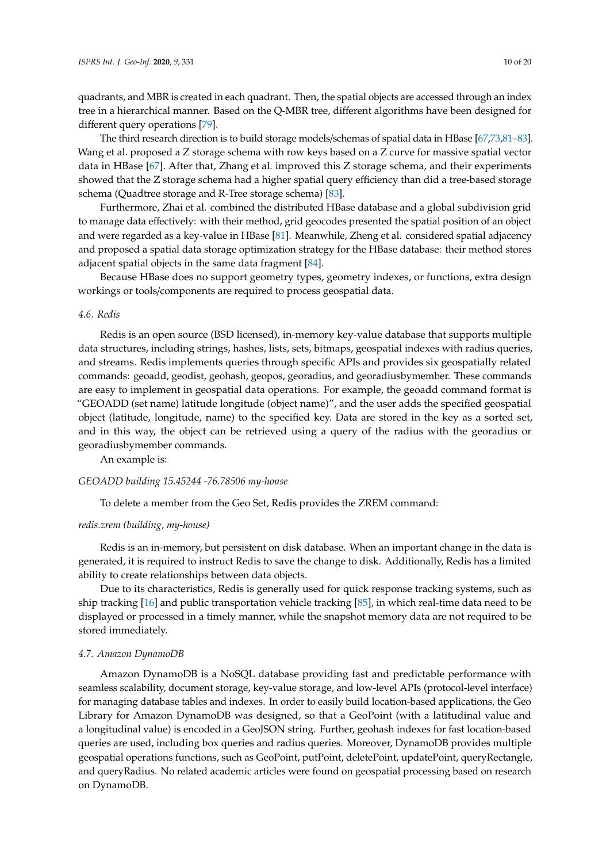quadrants, and MBR is created in each quadrant. Then, the spatial objects are accessed through an index tree in a hierarchical manner. Based on the Q-MBR tree, different algorithms have been designed for different query operations [\[79\]](#page-18-10).

The third research direction is to build storage models/schemas of spatial data in HBase [\[67](#page-17-17)[,73](#page-18-3)[,81](#page-18-12)[–83\]](#page-18-13). Wang et al. proposed a Z storage schema with row keys based on a Z curve for massive spatial vector data in HBase [\[67\]](#page-17-17). After that, Zhang et al. improved this Z storage schema, and their experiments showed that the Z storage schema had a higher spatial query efficiency than did a tree-based storage schema (Quadtree storage and R-Tree storage schema) [\[83\]](#page-18-13).

Furthermore, Zhai et al. combined the distributed HBase database and a global subdivision grid to manage data effectively: with their method, grid geocodes presented the spatial position of an object and were regarded as a key-value in HBase [\[81\]](#page-18-12). Meanwhile, Zheng et al. considered spatial adjacency and proposed a spatial data storage optimization strategy for the HBase database: their method stores adjacent spatial objects in the same data fragment [\[84\]](#page-18-14).

Because HBase does no support geometry types, geometry indexes, or functions, extra design workings or tools/components are required to process geospatial data.

#### *4.6. Redis*

Redis is an open source (BSD licensed), in-memory key-value database that supports multiple data structures, including strings, hashes, lists, sets, bitmaps, geospatial indexes with radius queries, and streams. Redis implements queries through specific APIs and provides six geospatially related commands: geoadd, geodist, geohash, geopos, georadius, and georadiusbymember. These commands are easy to implement in geospatial data operations. For example, the geoadd command format is "GEOADD (set name) latitude longitude (object name)", and the user adds the specified geospatial object (latitude, longitude, name) to the specified key. Data are stored in the key as a sorted set, and in this way, the object can be retrieved using a query of the radius with the georadius or georadiusbymember commands.

An example is:

#### *GEOADD building 15.45244 -76.78506 my-house*

To delete a member from the Geo Set, Redis provides the ZREM command:

#### *redis.zrem (building, my-house)*

Redis is an in-memory, but persistent on disk database. When an important change in the data is generated, it is required to instruct Redis to save the change to disk. Additionally, Redis has a limited ability to create relationships between data objects.

Due to its characteristics, Redis is generally used for quick response tracking systems, such as ship tracking [\[16\]](#page-15-20) and public transportation vehicle tracking [\[85\]](#page-18-15), in which real-time data need to be displayed or processed in a timely manner, while the snapshot memory data are not required to be stored immediately.

#### *4.7. Amazon DynamoDB*

Amazon DynamoDB is a NoSQL database providing fast and predictable performance with seamless scalability, document storage, key-value storage, and low-level APIs (protocol-level interface) for managing database tables and indexes. In order to easily build location-based applications, the Geo Library for Amazon DynamoDB was designed, so that a GeoPoint (with a latitudinal value and a longitudinal value) is encoded in a GeoJSON string. Further, geohash indexes for fast location-based queries are used, including box queries and radius queries. Moreover, DynamoDB provides multiple geospatial operations functions, such as GeoPoint, putPoint, deletePoint, updatePoint, queryRectangle, and queryRadius. No related academic articles were found on geospatial processing based on research on DynamoDB.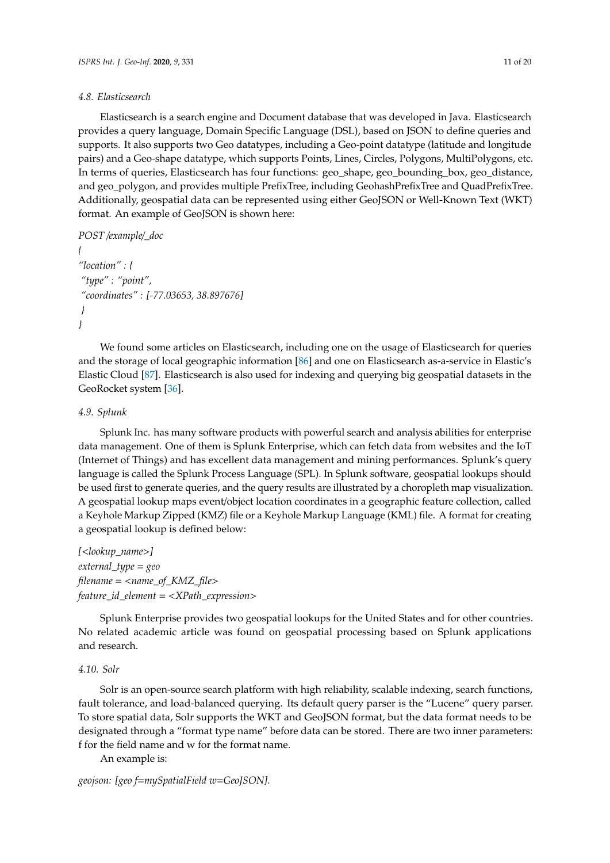### *4.8. Elasticsearch*

Elasticsearch is a search engine and Document database that was developed in Java. Elasticsearch provides a query language, Domain Specific Language (DSL), based on JSON to define queries and supports. It also supports two Geo datatypes, including a Geo-point datatype (latitude and longitude pairs) and a Geo-shape datatype, which supports Points, Lines, Circles, Polygons, MultiPolygons, etc. In terms of queries, Elasticsearch has four functions: geo\_shape, geo\_bounding\_box, geo\_distance, and geo\_polygon, and provides multiple PrefixTree, including GeohashPrefixTree and QuadPrefixTree. Additionally, geospatial data can be represented using either GeoJSON or Well-Known Text (WKT) format. An example of GeoJSON is shown here:

```
POST /example/_doc
```

```
{
"location" : {
 "type" : "point",
 "coordinates" : [-77.03653, 38.897676]
 }
}
```
We found some articles on Elasticsearch, including one on the usage of Elasticsearch for queries and the storage of local geographic information [\[86\]](#page-18-16) and one on Elasticsearch as-a-service in Elastic's Elastic Cloud [\[87\]](#page-18-17). Elasticsearch is also used for indexing and querying big geospatial datasets in the GeoRocket system [\[36\]](#page-16-11).

## *4.9. Splunk*

Splunk Inc. has many software products with powerful search and analysis abilities for enterprise data management. One of them is Splunk Enterprise, which can fetch data from websites and the IoT (Internet of Things) and has excellent data management and mining performances. Splunk's query language is called the Splunk Process Language (SPL). In Splunk software, geospatial lookups should be used first to generate queries, and the query results are illustrated by a choropleth map visualization. A geospatial lookup maps event/object location coordinates in a geographic feature collection, called a Keyhole Markup Zipped (KMZ) file or a Keyhole Markup Language (KML) file. A format for creating a geospatial lookup is defined below:

*[*<*lookup\_name*>*] external\_type* = *geo filename* = <*name\_of\_KMZ\_file*> *feature\_id\_element* = <*XPath\_expression*>

Splunk Enterprise provides two geospatial lookups for the United States and for other countries. No related academic article was found on geospatial processing based on Splunk applications and research.

## *4.10. Solr*

Solr is an open-source search platform with high reliability, scalable indexing, search functions, fault tolerance, and load-balanced querying. Its default query parser is the "Lucene" query parser. To store spatial data, Solr supports the WKT and GeoJSON format, but the data format needs to be designated through a "format type name" before data can be stored. There are two inner parameters: f for the field name and w for the format name.

An example is:

*geojson: [geo f*=*mySpatialField w*=*GeoJSON].*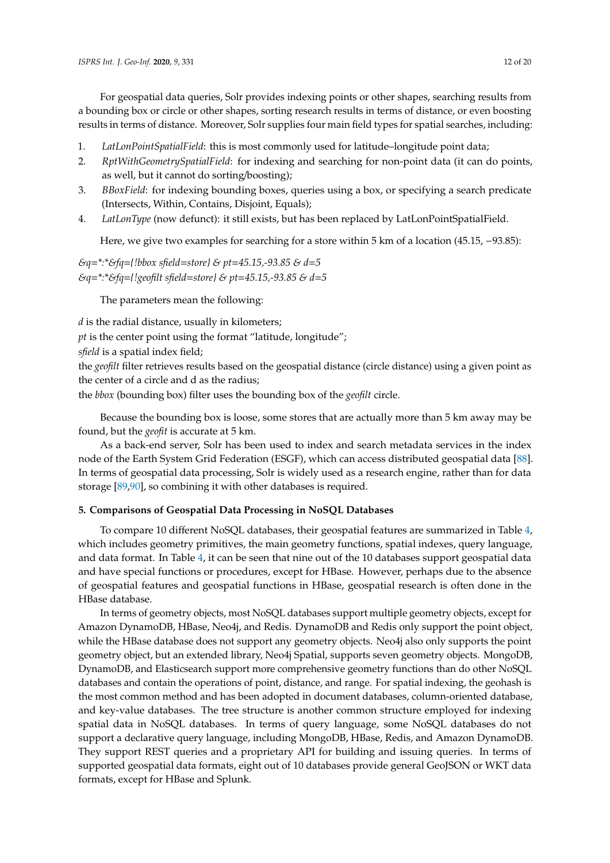For geospatial data queries, Solr provides indexing points or other shapes, searching results from a bounding box or circle or other shapes, sorting research results in terms of distance, or even boosting results in terms of distance. Moreover, Solr supplies four main field types for spatial searches, including:

- 1. *LatLonPointSpatialField*: this is most commonly used for latitude–longitude point data;
- 2. *RptWithGeometrySpatialField*: for indexing and searching for non-point data (it can do points, as well, but it cannot do sorting/boosting);
- 3. *BBoxField*: for indexing bounding boxes, queries using a box, or specifying a search predicate (Intersects, Within, Contains, Disjoint, Equals);
- 4. *LatLonType* (now defunct): it still exists, but has been replaced by LatLonPointSpatialField.

Here, we give two examples for searching for a store within 5 km of a location (45.15, −93.85):

# *&q*=*\*:\*&fq*=*{!bbox sfield*=*store} & pt*=*45.15,-93.85 & d*=*5 &q*=*\*:\*&fq*=*{!geofilt sfield*=*store} & pt*=*45.15,-93.85 & d*=*5*

The parameters mean the following:

*d* is the radial distance, usually in kilometers;

*pt* is the center point using the format "latitude, longitude";

*sfield* is a spatial index field;

the *geofilt* filter retrieves results based on the geospatial distance (circle distance) using a given point as the center of a circle and d as the radius;

the *bbox* (bounding box) filter uses the bounding box of the *geofilt* circle.

Because the bounding box is loose, some stores that are actually more than 5 km away may be found, but the *geofit* is accurate at 5 km.

As a back-end server, Solr has been used to index and search metadata services in the index node of the Earth System Grid Federation (ESGF), which can access distributed geospatial data [\[88\]](#page-18-18). In terms of geospatial data processing, Solr is widely used as a research engine, rather than for data storage [\[89](#page-19-0)[,90\]](#page-19-1), so combining it with other databases is required.

# <span id="page-11-0"></span>**5. Comparisons of Geospatial Data Processing in NoSQL Databases**

To compare 10 different NoSQL databases, their geospatial features are summarized in Table [4,](#page-5-0) which includes geometry primitives, the main geometry functions, spatial indexes, query language, and data format. In Table [4,](#page-5-0) it can be seen that nine out of the 10 databases support geospatial data and have special functions or procedures, except for HBase. However, perhaps due to the absence of geospatial features and geospatial functions in HBase, geospatial research is often done in the HBase database.

In terms of geometry objects, most NoSQL databases support multiple geometry objects, except for Amazon DynamoDB, HBase, Neo4j, and Redis. DynamoDB and Redis only support the point object, while the HBase database does not support any geometry objects. Neo4j also only supports the point geometry object, but an extended library, Neo4j Spatial, supports seven geometry objects. MongoDB, DynamoDB, and Elasticsearch support more comprehensive geometry functions than do other NoSQL databases and contain the operations of point, distance, and range. For spatial indexing, the geohash is the most common method and has been adopted in document databases, column-oriented database, and key-value databases. The tree structure is another common structure employed for indexing spatial data in NoSQL databases. In terms of query language, some NoSQL databases do not support a declarative query language, including MongoDB, HBase, Redis, and Amazon DynamoDB. They support REST queries and a proprietary API for building and issuing queries. In terms of supported geospatial data formats, eight out of 10 databases provide general GeoJSON or WKT data formats, except for HBase and Splunk.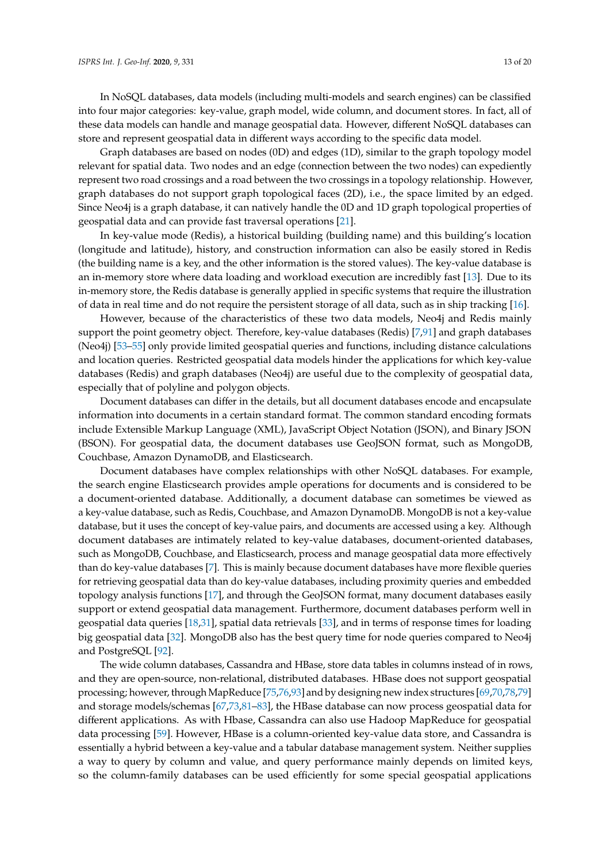In NoSQL databases, data models (including multi-models and search engines) can be classified into four major categories: key-value, graph model, wide column, and document stores. In fact, all of these data models can handle and manage geospatial data. However, different NoSQL databases can store and represent geospatial data in different ways according to the specific data model.

Graph databases are based on nodes (0D) and edges (1D), similar to the graph topology model relevant for spatial data. Two nodes and an edge (connection between the two nodes) can expediently represent two road crossings and a road between the two crossings in a topology relationship. However, graph databases do not support graph topological faces (2D), i.e., the space limited by an edged. Since Neo4j is a graph database, it can natively handle the 0D and 1D graph topological properties of geospatial data and can provide fast traversal operations [\[21\]](#page-15-14).

In key-value mode (Redis), a historical building (building name) and this building's location (longitude and latitude), history, and construction information can also be easily stored in Redis (the building name is a key, and the other information is the stored values). The key-value database is an in-memory store where data loading and workload execution are incredibly fast [\[13\]](#page-15-6). Due to its in-memory store, the Redis database is generally applied in specific systems that require the illustration of data in real time and do not require the persistent storage of all data, such as in ship tracking [\[16\]](#page-15-20).

However, because of the characteristics of these two data models, Neo4j and Redis mainly support the point geometry object. Therefore, key-value databases (Redis) [\[7](#page-15-0)[,91\]](#page-19-2) and graph databases (Neo4j) [\[53](#page-17-5)[–55\]](#page-17-7) only provide limited geospatial queries and functions, including distance calculations and location queries. Restricted geospatial data models hinder the applications for which key-value databases (Redis) and graph databases (Neo4j) are useful due to the complexity of geospatial data, especially that of polyline and polygon objects.

Document databases can differ in the details, but all document databases encode and encapsulate information into documents in a certain standard format. The common standard encoding formats include Extensible Markup Language (XML), JavaScript Object Notation (JSON), and Binary JSON (BSON). For geospatial data, the document databases use GeoJSON format, such as MongoDB, Couchbase, Amazon DynamoDB, and Elasticsearch.

Document databases have complex relationships with other NoSQL databases. For example, the search engine Elasticsearch provides ample operations for documents and is considered to be a document-oriented database. Additionally, a document database can sometimes be viewed as a key-value database, such as Redis, Couchbase, and Amazon DynamoDB. MongoDB is not a key-value database, but it uses the concept of key-value pairs, and documents are accessed using a key. Although document databases are intimately related to key-value databases, document-oriented databases, such as MongoDB, Couchbase, and Elasticsearch, process and manage geospatial data more effectively than do key-value databases [\[7\]](#page-15-0). This is mainly because document databases have more flexible queries for retrieving geospatial data than do key-value databases, including proximity queries and embedded topology analysis functions [\[17\]](#page-15-9), and through the GeoJSON format, many document databases easily support or extend geospatial data management. Furthermore, document databases perform well in geospatial data queries [\[18,](#page-15-10)[31\]](#page-16-4), spatial data retrievals [\[33\]](#page-16-6), and in terms of response times for loading big geospatial data [\[32\]](#page-16-5). MongoDB also has the best query time for node queries compared to Neo4j and PostgreSQL [\[92\]](#page-19-3).

The wide column databases, Cassandra and HBase, store data tables in columns instead of in rows, and they are open-source, non-relational, distributed databases. HBase does not support geospatial processing; however, through MapReduce [\[75,](#page-18-5)[76](#page-18-6)[,93\]](#page-19-4) and by designing new index structures [\[69,](#page-18-8)[70,](#page-18-0)[78](#page-18-9)[,79\]](#page-18-10) and storage models/schemas [\[67](#page-17-17)[,73](#page-18-3)[,81–](#page-18-12)[83\]](#page-18-13), the HBase database can now process geospatial data for different applications. As with Hbase, Cassandra can also use Hadoop MapReduce for geospatial data processing [\[59\]](#page-17-11). However, HBase is a column-oriented key-value data store, and Cassandra is essentially a hybrid between a key-value and a tabular database management system. Neither supplies a way to query by column and value, and query performance mainly depends on limited keys, so the column-family databases can be used efficiently for some special geospatial applications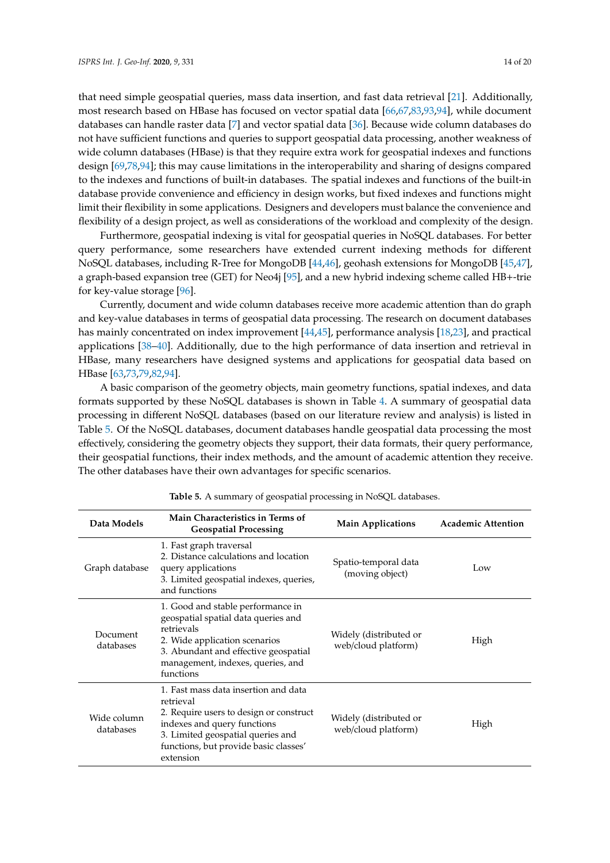that need simple geospatial queries, mass data insertion, and fast data retrieval [\[21\]](#page-15-14). Additionally, most research based on HBase has focused on vector spatial data [\[66](#page-17-18)[,67](#page-17-17)[,83](#page-18-13)[,93](#page-19-4)[,94\]](#page-19-5), while document databases can handle raster data [\[7\]](#page-15-0) and vector spatial data [\[36\]](#page-16-11). Because wide column databases do not have sufficient functions and queries to support geospatial data processing, another weakness of wide column databases (HBase) is that they require extra work for geospatial indexes and functions design [\[69](#page-18-8)[,78,](#page-18-9)[94\]](#page-19-5); this may cause limitations in the interoperability and sharing of designs compared to the indexes and functions of built-in databases. The spatial indexes and functions of the built-in database provide convenience and efficiency in design works, but fixed indexes and functions might limit their flexibility in some applications. Designers and developers must balance the convenience and flexibility of a design project, as well as considerations of the workload and complexity of the design.

Furthermore, geospatial indexing is vital for geospatial queries in NoSQL databases. For better query performance, some researchers have extended current indexing methods for different NoSQL databases, including R-Tree for MongoDB [\[44,](#page-16-9)[46\]](#page-16-10), geohash extensions for MongoDB [\[45,](#page-16-12)[47\]](#page-16-13), a graph-based expansion tree (GET) for Neo4j [\[95\]](#page-19-6), and a new hybrid indexing scheme called HB+-trie for key-value storage [\[96\]](#page-19-7).

Currently, document and wide column databases receive more academic attention than do graph and key-value databases in terms of geospatial data processing. The research on document databases has mainly concentrated on index improvement [\[44,](#page-16-9)[45\]](#page-16-12), performance analysis [\[18,](#page-15-10)[23\]](#page-15-16), and practical applications [\[38](#page-16-15)[–40\]](#page-16-16). Additionally, due to the high performance of data insertion and retrieval in HBase, many researchers have designed systems and applications for geospatial data based on HBase [\[63,](#page-17-15)[73,](#page-18-3)[79,](#page-18-10)[82,](#page-18-19)[94\]](#page-19-5).

A basic comparison of the geometry objects, main geometry functions, spatial indexes, and data formats supported by these NoSQL databases is shown in Table [4.](#page-5-0) A summary of geospatial data processing in different NoSQL databases (based on our literature review and analysis) is listed in Table [5.](#page-14-6) Of the NoSQL databases, document databases handle geospatial data processing the most effectively, considering the geometry objects they support, their data formats, their query performance, their geospatial functions, their index methods, and the amount of academic attention they receive. The other databases have their own advantages for specific scenarios.

| Data Models              | Main Characteristics in Terms of<br><b>Geospatial Processing</b>                                                                                                                                                       | <b>Main Applications</b>                      | <b>Academic Attention</b> |
|--------------------------|------------------------------------------------------------------------------------------------------------------------------------------------------------------------------------------------------------------------|-----------------------------------------------|---------------------------|
| Graph database           | 1. Fast graph traversal<br>2. Distance calculations and location<br>query applications<br>3. Limited geospatial indexes, queries,<br>and functions                                                                     | Spatio-temporal data<br>(moving object)       | Low                       |
| Document<br>databases    | 1. Good and stable performance in<br>geospatial spatial data queries and<br>retrievals<br>2. Wide application scenarios<br>3. Abundant and effective geospatial<br>management, indexes, queries, and<br>functions      | Widely (distributed or<br>web/cloud platform) | High                      |
| Wide column<br>databases | 1. Fast mass data insertion and data<br>retrieval<br>2. Require users to design or construct<br>indexes and query functions<br>3. Limited geospatial queries and<br>functions, but provide basic classes'<br>extension | Widely (distributed or<br>web/cloud platform) | High                      |

**Table 5.** A summary of geospatial processing in NoSQL databases.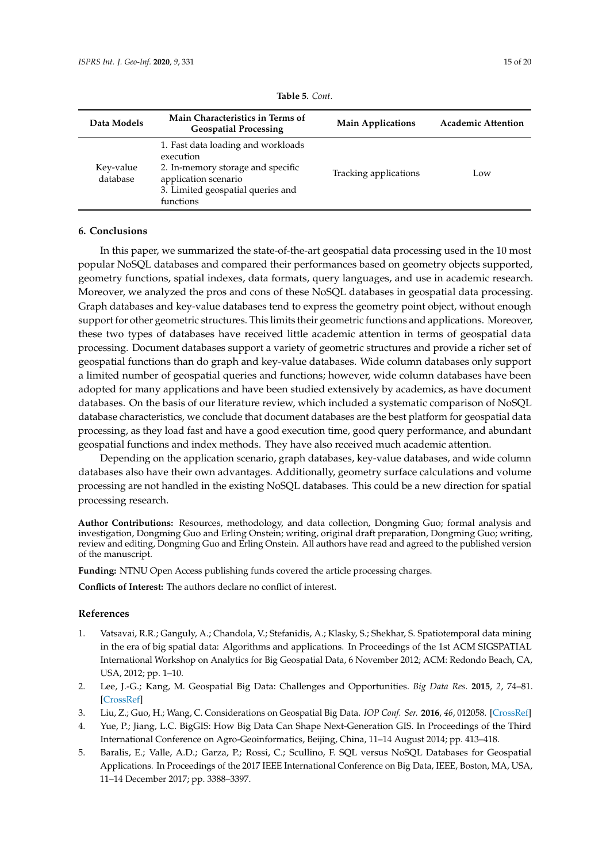<span id="page-14-6"></span>

| Data Models           | Main Characteristics in Terms of<br><b>Geospatial Processing</b>                                                                                               | <b>Main Applications</b> | <b>Academic Attention</b> |
|-----------------------|----------------------------------------------------------------------------------------------------------------------------------------------------------------|--------------------------|---------------------------|
| Key-value<br>database | 1. Fast data loading and workloads<br>execution<br>2. In-memory storage and specific<br>application scenario<br>3. Limited geospatial queries and<br>functions | Tracking applications    | Low                       |

# <span id="page-14-5"></span>**6. Conclusions**

In this paper, we summarized the state-of-the-art geospatial data processing used in the 10 most popular NoSQL databases and compared their performances based on geometry objects supported, geometry functions, spatial indexes, data formats, query languages, and use in academic research. Moreover, we analyzed the pros and cons of these NoSQL databases in geospatial data processing. Graph databases and key-value databases tend to express the geometry point object, without enough support for other geometric structures. This limits their geometric functions and applications. Moreover, these two types of databases have received little academic attention in terms of geospatial data processing. Document databases support a variety of geometric structures and provide a richer set of geospatial functions than do graph and key-value databases. Wide column databases only support a limited number of geospatial queries and functions; however, wide column databases have been adopted for many applications and have been studied extensively by academics, as have document databases. On the basis of our literature review, which included a systematic comparison of NoSQL database characteristics, we conclude that document databases are the best platform for geospatial data processing, as they load fast and have a good execution time, good query performance, and abundant geospatial functions and index methods. They have also received much academic attention.

Depending on the application scenario, graph databases, key-value databases, and wide column databases also have their own advantages. Additionally, geometry surface calculations and volume processing are not handled in the existing NoSQL databases. This could be a new direction for spatial processing research.

**Author Contributions:** Resources, methodology, and data collection, Dongming Guo; formal analysis and investigation, Dongming Guo and Erling Onstein; writing, original draft preparation, Dongming Guo; writing, review and editing, Dongming Guo and Erling Onstein. All authors have read and agreed to the published version of the manuscript.

**Funding:** NTNU Open Access publishing funds covered the article processing charges.

**Conflicts of Interest:** The authors declare no conflict of interest.

# **References**

- <span id="page-14-0"></span>1. Vatsavai, R.R.; Ganguly, A.; Chandola, V.; Stefanidis, A.; Klasky, S.; Shekhar, S. Spatiotemporal data mining in the era of big spatial data: Algorithms and applications. In Proceedings of the 1st ACM SIGSPATIAL International Workshop on Analytics for Big Geospatial Data, 6 November 2012; ACM: Redondo Beach, CA, USA, 2012; pp. 1–10.
- <span id="page-14-1"></span>2. Lee, J.-G.; Kang, M. Geospatial Big Data: Challenges and Opportunities. *Big Data Res.* **2015**, *2*, 74–81. [\[CrossRef\]](http://dx.doi.org/10.1016/j.bdr.2015.01.003)
- <span id="page-14-2"></span>3. Liu, Z.; Guo, H.; Wang, C. Considerations on Geospatial Big Data. *IOP Conf. Ser.* **2016**, *46*, 012058. [\[CrossRef\]](http://dx.doi.org/10.1088/1755-1315/46/1/012058)
- <span id="page-14-3"></span>4. Yue, P.; Jiang, L.C. BigGIS: How Big Data Can Shape Next-Generation GIS. In Proceedings of the Third International Conference on Agro-Geoinformatics, Beijing, China, 11–14 August 2014; pp. 413–418.
- <span id="page-14-4"></span>5. Baralis, E.; Valle, A.D.; Garza, P.; Rossi, C.; Scullino, F. SQL versus NoSQL Databases for Geospatial Applications. In Proceedings of the 2017 IEEE International Conference on Big Data, IEEE, Boston, MA, USA, 11–14 December 2017; pp. 3388–3397.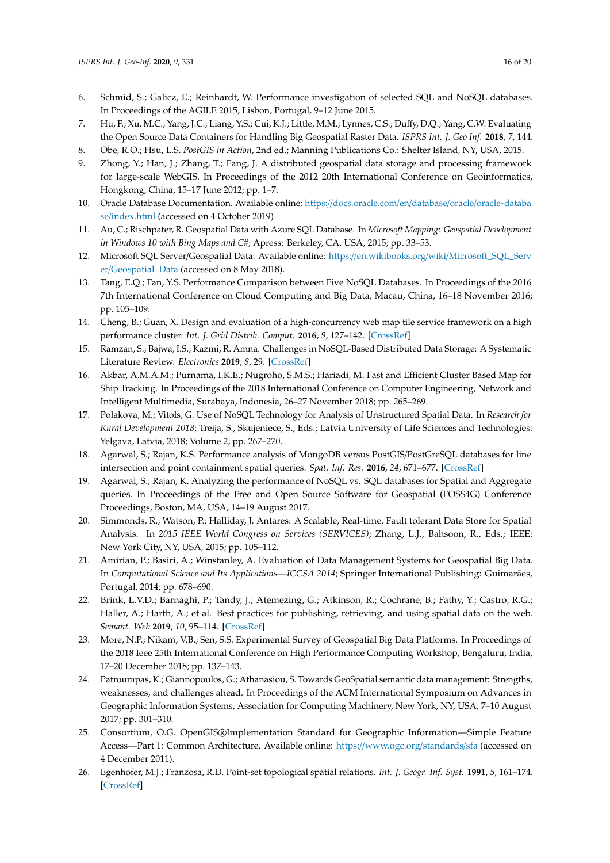- <span id="page-15-11"></span>6. Schmid, S.; Galicz, E.; Reinhardt, W. Performance investigation of selected SQL and NoSQL databases. In Proceedings of the AGILE 2015, Lisbon, Portugal, 9–12 June 2015.
- <span id="page-15-0"></span>7. Hu, F.; Xu, M.C.; Yang, J.C.; Liang, Y.S.; Cui, K.J.; Little, M.M.; Lynnes, C.S.; Duffy, D.Q.; Yang, C.W. Evaluating the Open Source Data Containers for Handling Big Geospatial Raster Data. *ISPRS Int. J. Geo Inf.* **2018**, *7*, 144.
- <span id="page-15-1"></span>8. Obe, R.O.; Hsu, L.S. *PostGIS in Action*, 2nd ed.; Manning Publications Co.: Shelter Island, NY, USA, 2015.
- <span id="page-15-2"></span>9. Zhong, Y.; Han, J.; Zhang, T.; Fang, J. A distributed geospatial data storage and processing framework for large-scale WebGIS. In Proceedings of the 2012 20th International Conference on Geoinformatics, Hongkong, China, 15–17 June 2012; pp. 1–7.
- <span id="page-15-3"></span>10. Oracle Database Documentation. Available online: https://[docs.oracle.com](https://docs.oracle.com/en/database/oracle/oracle-database/index.html)/en/database/oracle/oracle-databa se/[index.html](https://docs.oracle.com/en/database/oracle/oracle-database/index.html) (accessed on 4 October 2019).
- <span id="page-15-4"></span>11. Au, C.; Rischpater, R. Geospatial Data with Azure SQL Database. In *Microsoft Mapping: Geospatial Development in Windows 10 with Bing Maps and C#*; Apress: Berkeley, CA, USA, 2015; pp. 33–53.
- <span id="page-15-5"></span>12. Microsoft SQL Server/Geospatial Data. Available online: https://en.wikibooks.org/wiki/[Microsoft\\_SQL\\_Serv](https://en.wikibooks.org/wiki/Microsoft_SQL_Server/Geospatial_Data) er/[Geospatial\\_Data](https://en.wikibooks.org/wiki/Microsoft_SQL_Server/Geospatial_Data) (accessed on 8 May 2018).
- <span id="page-15-6"></span>13. Tang, E.Q.; Fan, Y.S. Performance Comparison between Five NoSQL Databases. In Proceedings of the 2016 7th International Conference on Cloud Computing and Big Data, Macau, China, 16–18 November 2016; pp. 105–109.
- <span id="page-15-7"></span>14. Cheng, B.; Guan, X. Design and evaluation of a high-concurrency web map tile service framework on a high performance cluster. *Int. J. Grid Distrib. Comput.* **2016**, *9*, 127–142. [\[CrossRef\]](http://dx.doi.org/10.14257/ijgdc.2016.9.12.12)
- <span id="page-15-8"></span>15. Ramzan, S.; Bajwa, I.S.; Kazmi, R. Amna. Challenges in NoSQL-Based Distributed Data Storage: A Systematic Literature Review. *Electronics* **2019**, *8*, 29. [\[CrossRef\]](http://dx.doi.org/10.3390/electronics8050488)
- <span id="page-15-20"></span>16. Akbar, A.M.A.M.; Purnama, I.K.E.; Nugroho, S.M.S.; Hariadi, M. Fast and Efficient Cluster Based Map for Ship Tracking. In Proceedings of the 2018 International Conference on Computer Engineering, Network and Intelligent Multimedia, Surabaya, Indonesia, 26–27 November 2018; pp. 265–269.
- <span id="page-15-9"></span>17. Polakova, M.; Vitols, G. Use of NoSQL Technology for Analysis of Unstructured Spatial Data. In *Research for Rural Development 2018*; Treija, S., Skujeniece, S., Eds.; Latvia University of Life Sciences and Technologies: Yelgava, Latvia, 2018; Volume 2, pp. 267–270.
- <span id="page-15-10"></span>18. Agarwal, S.; Rajan, K.S. Performance analysis of MongoDB versus PostGIS/PostGreSQL databases for line intersection and point containment spatial queries. *Spat. Inf. Res.* **2016**, *24*, 671–677. [\[CrossRef\]](http://dx.doi.org/10.1007/s41324-016-0059-1)
- <span id="page-15-12"></span>19. Agarwal, S.; Rajan, K. Analyzing the performance of NoSQL vs. SQL databases for Spatial and Aggregate queries. In Proceedings of the Free and Open Source Software for Geospatial (FOSS4G) Conference Proceedings, Boston, MA, USA, 14–19 August 2017.
- <span id="page-15-13"></span>20. Simmonds, R.; Watson, P.; Halliday, J. Antares: A Scalable, Real-time, Fault tolerant Data Store for Spatial Analysis. In *2015 IEEE World Congress on Services (SERVICES)*; Zhang, L.J., Bahsoon, R., Eds.; IEEE: New York City, NY, USA, 2015; pp. 105–112.
- <span id="page-15-14"></span>21. Amirian, P.; Basiri, A.; Winstanley, A. Evaluation of Data Management Systems for Geospatial Big Data. In *Computational Science and Its Applications—ICCSA 2014*; Springer International Publishing: Guimarães, Portugal, 2014; pp. 678–690.
- <span id="page-15-15"></span>22. Brink, L.V.D.; Barnaghi, P.; Tandy, J.; Atemezing, G.; Atkinson, R.; Cochrane, B.; Fathy, Y.; Castro, R.G.; Haller, A.; Harth, A.; et al. Best practices for publishing, retrieving, and using spatial data on the web. *Semant. Web* **2019**, *10*, 95–114. [\[CrossRef\]](http://dx.doi.org/10.3233/SW-180305)
- <span id="page-15-16"></span>23. More, N.P.; Nikam, V.B.; Sen, S.S. Experimental Survey of Geospatial Big Data Platforms. In Proceedings of the 2018 Ieee 25th International Conference on High Performance Computing Workshop, Bengaluru, India, 17–20 December 2018; pp. 137–143.
- <span id="page-15-17"></span>24. Patroumpas, K.; Giannopoulos, G.; Athanasiou, S. Towards GeoSpatial semantic data management: Strengths, weaknesses, and challenges ahead. In Proceedings of the ACM International Symposium on Advances in Geographic Information Systems, Association for Computing Machinery, New York, NY, USA, 7–10 August 2017; pp. 301–310.
- <span id="page-15-18"></span>25. Consortium, O.G. OpenGIS®Implementation Standard for Geographic Information—Simple Feature Access—Part 1: Common Architecture. Available online: https://[www.ogc.org](https://www.ogc.org/standards/sfa)/standards/sfa (accessed on 4 December 2011).
- <span id="page-15-19"></span>26. Egenhofer, M.J.; Franzosa, R.D. Point-set topological spatial relations. *Int. J. Geogr. Inf. Syst.* **1991**, *5*, 161–174. [\[CrossRef\]](http://dx.doi.org/10.1080/02693799108927841)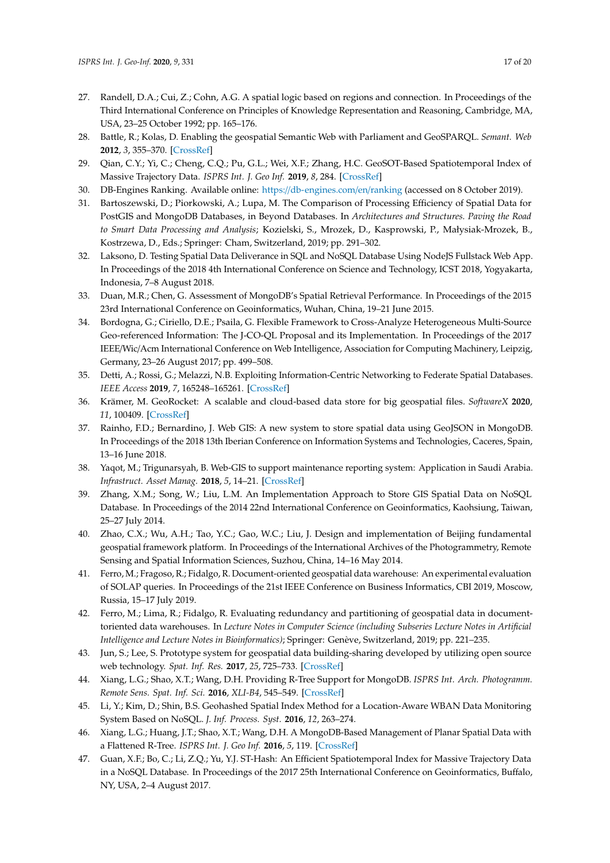- <span id="page-16-0"></span>27. Randell, D.A.; Cui, Z.; Cohn, A.G. A spatial logic based on regions and connection. In Proceedings of the Third International Conference on Principles of Knowledge Representation and Reasoning, Cambridge, MA, USA, 23–25 October 1992; pp. 165–176.
- <span id="page-16-1"></span>28. Battle, R.; Kolas, D. Enabling the geospatial Semantic Web with Parliament and GeoSPARQL. *Semant. Web* **2012**, *3*, 355–370. [\[CrossRef\]](http://dx.doi.org/10.3233/SW-2012-0065)
- <span id="page-16-2"></span>29. Qian, C.Y.; Yi, C.; Cheng, C.Q.; Pu, G.L.; Wei, X.F.; Zhang, H.C. GeoSOT-Based Spatiotemporal Index of Massive Trajectory Data. *ISPRS Int. J. Geo Inf.* **2019**, *8*, 284. [\[CrossRef\]](http://dx.doi.org/10.3390/ijgi8060284)
- <span id="page-16-3"></span>30. DB-Engines Ranking. Available online: https://[db-engines.com](https://db-engines.com/en/ranking)/en/ranking (accessed on 8 October 2019).
- <span id="page-16-4"></span>31. Bartoszewski, D.; Piorkowski, A.; Lupa, M. The Comparison of Processing Efficiency of Spatial Data for PostGIS and MongoDB Databases, in Beyond Databases. In *Architectures and Structures. Paving the Road to Smart Data Processing and Analysis*; Kozielski, S., Mrozek, D., Kasprowski, P., Małysiak-Mrozek, B., Kostrzewa, D., Eds.; Springer: Cham, Switzerland, 2019; pp. 291–302.
- <span id="page-16-5"></span>32. Laksono, D. Testing Spatial Data Deliverance in SQL and NoSQL Database Using NodeJS Fullstack Web App. In Proceedings of the 2018 4th International Conference on Science and Technology, ICST 2018, Yogyakarta, Indonesia, 7–8 August 2018.
- <span id="page-16-6"></span>33. Duan, M.R.; Chen, G. Assessment of MongoDB's Spatial Retrieval Performance. In Proceedings of the 2015 23rd International Conference on Geoinformatics, Wuhan, China, 19–21 June 2015.
- <span id="page-16-7"></span>34. Bordogna, G.; Ciriello, D.E.; Psaila, G. Flexible Framework to Cross-Analyze Heterogeneous Multi-Source Geo-referenced Information: The J-CO-QL Proposal and its Implementation. In Proceedings of the 2017 IEEE/Wic/Acm International Conference on Web Intelligence, Association for Computing Machinery, Leipzig, Germany, 23–26 August 2017; pp. 499–508.
- <span id="page-16-14"></span>35. Detti, A.; Rossi, G.; Melazzi, N.B. Exploiting Information-Centric Networking to Federate Spatial Databases. *IEEE Access* **2019**, *7*, 165248–165261. [\[CrossRef\]](http://dx.doi.org/10.1109/ACCESS.2019.2953043)
- <span id="page-16-11"></span>36. Krämer, M. GeoRocket: A scalable and cloud-based data store for big geospatial files. *SoftwareX* **2020**, *11*, 100409. [\[CrossRef\]](http://dx.doi.org/10.1016/j.softx.2020.100409)
- 37. Rainho, F.D.; Bernardino, J. Web GIS: A new system to store spatial data using GeoJSON in MongoDB. In Proceedings of the 2018 13th Iberian Conference on Information Systems and Technologies, Caceres, Spain, 13–16 June 2018.
- <span id="page-16-15"></span>38. Yaqot, M.; Trigunarsyah, B. Web-GIS to support maintenance reporting system: Application in Saudi Arabia. *Infrastruct. Asset Manag.* **2018**, *5*, 14–21. [\[CrossRef\]](http://dx.doi.org/10.1680/jinam.17.00009)
- 39. Zhang, X.M.; Song, W.; Liu, L.M. An Implementation Approach to Store GIS Spatial Data on NoSQL Database. In Proceedings of the 2014 22nd International Conference on Geoinformatics, Kaohsiung, Taiwan, 25–27 July 2014.
- <span id="page-16-16"></span>40. Zhao, C.X.; Wu, A.H.; Tao, Y.C.; Gao, W.C.; Liu, J. Design and implementation of Beijing fundamental geospatial framework platform. In Proceedings of the International Archives of the Photogrammetry, Remote Sensing and Spatial Information Sciences, Suzhou, China, 14–16 May 2014.
- 41. Ferro, M.; Fragoso, R.; Fidalgo, R. Document-oriented geospatial data warehouse: An experimental evaluation of SOLAP queries. In Proceedings of the 21st IEEE Conference on Business Informatics, CBI 2019, Moscow, Russia, 15–17 July 2019.
- 42. Ferro, M.; Lima, R.; Fidalgo, R. Evaluating redundancy and partitioning of geospatial data in documenttoriented data warehouses. In *Lecture Notes in Computer Science (including Subseries Lecture Notes in Artificial Intelligence and Lecture Notes in Bioinformatics)*; Springer: Genève, Switzerland, 2019; pp. 221–235.
- <span id="page-16-8"></span>43. Jun, S.; Lee, S. Prototype system for geospatial data building-sharing developed by utilizing open source web technology. *Spat. Inf. Res.* **2017**, *25*, 725–733. [\[CrossRef\]](http://dx.doi.org/10.1007/s41324-017-0138-y)
- <span id="page-16-9"></span>44. Xiang, L.G.; Shao, X.T.; Wang, D.H. Providing R-Tree Support for MongoDB. *ISPRS Int. Arch. Photogramm. Remote Sens. Spat. Inf. Sci.* **2016**, *XLI-B4*, 545–549. [\[CrossRef\]](http://dx.doi.org/10.5194/isprsarchives-XLI-B4-545-2016)
- <span id="page-16-12"></span>45. Li, Y.; Kim, D.; Shin, B.S. Geohashed Spatial Index Method for a Location-Aware WBAN Data Monitoring System Based on NoSQL. *J. Inf. Process. Syst.* **2016**, *12*, 263–274.
- <span id="page-16-10"></span>46. Xiang, L.G.; Huang, J.T.; Shao, X.T.; Wang, D.H. A MongoDB-Based Management of Planar Spatial Data with a Flattened R-Tree. *ISPRS Int. J. Geo Inf.* **2016**, *5*, 119. [\[CrossRef\]](http://dx.doi.org/10.3390/ijgi5070119)
- <span id="page-16-13"></span>47. Guan, X.F.; Bo, C.; Li, Z.Q.; Yu, Y.J. ST-Hash: An Efficient Spatiotemporal Index for Massive Trajectory Data in a NoSQL Database. In Proceedings of the 2017 25th International Conference on Geoinformatics, Buffalo, NY, USA, 2–4 August 2017.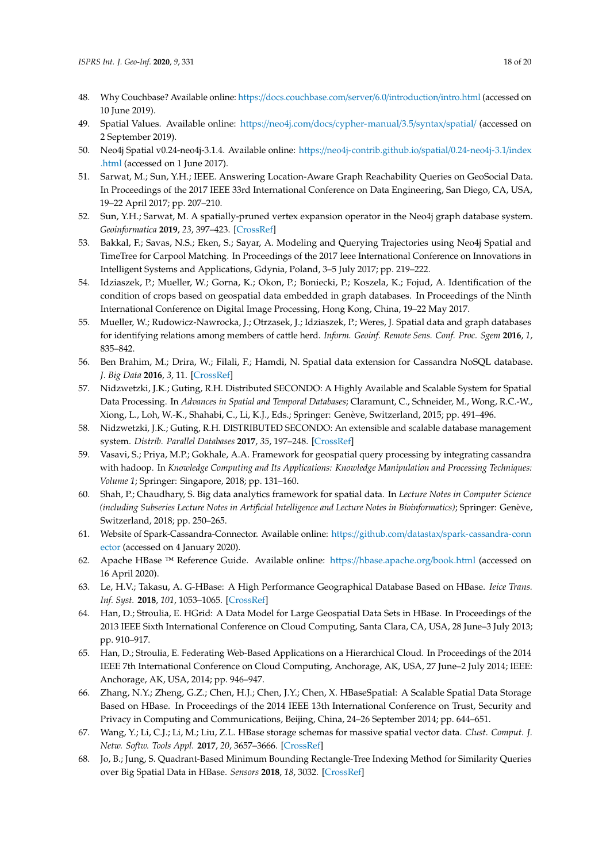- <span id="page-17-0"></span>48. Why Couchbase? Available online: https://[docs.couchbase.com](https://docs.couchbase.com/server/6.0/introduction/intro.html)/server/6.0/introduction/intro.html (accessed on 10 June 2019).
- <span id="page-17-1"></span>49. Spatial Values. Available online: https://neo4j.com/docs/[cypher-manual](https://neo4j.com/docs/cypher-manual/3.5/syntax/spatial/)/3.5/syntax/spatial/ (accessed on 2 September 2019).
- <span id="page-17-2"></span>50. Neo4j Spatial v0.24-neo4j-3.1.4. Available online: https://[neo4j-contrib.github.io](https://neo4j-contrib.github.io/spatial/0.24-neo4j-3.1/index.html)/spatial/0.24-neo4j-3.1/index [.html](https://neo4j-contrib.github.io/spatial/0.24-neo4j-3.1/index.html) (accessed on 1 June 2017).
- <span id="page-17-3"></span>51. Sarwat, M.; Sun, Y.H.; IEEE. Answering Location-Aware Graph Reachability Queries on GeoSocial Data. In Proceedings of the 2017 IEEE 33rd International Conference on Data Engineering, San Diego, CA, USA, 19–22 April 2017; pp. 207–210.
- <span id="page-17-4"></span>52. Sun, Y.H.; Sarwat, M. A spatially-pruned vertex expansion operator in the Neo4j graph database system. *Geoinformatica* **2019**, *23*, 397–423. [\[CrossRef\]](http://dx.doi.org/10.1007/s10707-019-00361-2)
- <span id="page-17-5"></span>53. Bakkal, F.; Savas, N.S.; Eken, S.; Sayar, A. Modeling and Querying Trajectories using Neo4j Spatial and TimeTree for Carpool Matching. In Proceedings of the 2017 Ieee International Conference on Innovations in Intelligent Systems and Applications, Gdynia, Poland, 3–5 July 2017; pp. 219–222.
- <span id="page-17-6"></span>54. Idziaszek, P.; Mueller, W.; Gorna, K.; Okon, P.; Boniecki, P.; Koszela, K.; Fojud, A. Identification of the condition of crops based on geospatial data embedded in graph databases. In Proceedings of the Ninth International Conference on Digital Image Processing, Hong Kong, China, 19–22 May 2017.
- <span id="page-17-7"></span>55. Mueller, W.; Rudowicz-Nawrocka, J.; Otrzasek, J.; Idziaszek, P.; Weres, J. Spatial data and graph databases for identifying relations among members of cattle herd. *Inform. Geoinf. Remote Sens. Conf. Proc. Sgem* **2016**, *1*, 835–842.
- <span id="page-17-8"></span>56. Ben Brahim, M.; Drira, W.; Filali, F.; Hamdi, N. Spatial data extension for Cassandra NoSQL database. *J. Big Data* **2016**, *3*, 11. [\[CrossRef\]](http://dx.doi.org/10.1186/s40537-016-0045-4)
- <span id="page-17-9"></span>57. Nidzwetzki, J.K.; Guting, R.H. Distributed SECONDO: A Highly Available and Scalable System for Spatial Data Processing. In *Advances in Spatial and Temporal Databases*; Claramunt, C., Schneider, M., Wong, R.C.-W., Xiong, L., Loh, W.-K., Shahabi, C., Li, K.J., Eds.; Springer: Genève, Switzerland, 2015; pp. 491–496.
- <span id="page-17-10"></span>58. Nidzwetzki, J.K.; Guting, R.H. DISTRIBUTED SECONDO: An extensible and scalable database management system. *Distrib. Parallel Databases* **2017**, *35*, 197–248. [\[CrossRef\]](http://dx.doi.org/10.1007/s10619-017-7198-9)
- <span id="page-17-11"></span>59. Vasavi, S.; Priya, M.P.; Gokhale, A.A. Framework for geospatial query processing by integrating cassandra with hadoop. In *Knowledge Computing and Its Applications: Knowledge Manipulation and Processing Techniques: Volume 1*; Springer: Singapore, 2018; pp. 131–160.
- <span id="page-17-12"></span>60. Shah, P.; Chaudhary, S. Big data analytics framework for spatial data. In *Lecture Notes in Computer Science (including Subseries Lecture Notes in Artificial Intelligence and Lecture Notes in Bioinformatics)*; Springer: Genève, Switzerland, 2018; pp. 250–265.
- <span id="page-17-13"></span>61. Website of Spark-Cassandra-Connector. Available online: https://github.com/datastax/[spark-cassandra-conn](https://github.com/datastax/spark-cassandra-connector) [ector](https://github.com/datastax/spark-cassandra-connector) (accessed on 4 January 2020).
- <span id="page-17-14"></span>62. Apache HBase ™ Reference Guide. Available online: https://[hbase.apache.org](https://hbase.apache.org/book.html)/book.html (accessed on 16 April 2020).
- <span id="page-17-15"></span>63. Le, H.V.; Takasu, A. G-HBase: A High Performance Geographical Database Based on HBase. *Ieice Trans. Inf. Syst.* **2018**, *101*, 1053–1065. [\[CrossRef\]](http://dx.doi.org/10.1587/transinf.2017DAP0017)
- <span id="page-17-16"></span>64. Han, D.; Stroulia, E. HGrid: A Data Model for Large Geospatial Data Sets in HBase. In Proceedings of the 2013 IEEE Sixth International Conference on Cloud Computing, Santa Clara, CA, USA, 28 June–3 July 2013; pp. 910–917.
- 65. Han, D.; Stroulia, E. Federating Web-Based Applications on a Hierarchical Cloud. In Proceedings of the 2014 IEEE 7th International Conference on Cloud Computing, Anchorage, AK, USA, 27 June–2 July 2014; IEEE: Anchorage, AK, USA, 2014; pp. 946–947.
- <span id="page-17-18"></span>66. Zhang, N.Y.; Zheng, G.Z.; Chen, H.J.; Chen, J.Y.; Chen, X. HBaseSpatial: A Scalable Spatial Data Storage Based on HBase. In Proceedings of the 2014 IEEE 13th International Conference on Trust, Security and Privacy in Computing and Communications, Beijing, China, 24–26 September 2014; pp. 644–651.
- <span id="page-17-17"></span>67. Wang, Y.; Li, C.J.; Li, M.; Liu, Z.L. HBase storage schemas for massive spatial vector data. *Clust. Comput. J. Netw. Softw. Tools Appl.* **2017**, *20*, 3657–3666. [\[CrossRef\]](http://dx.doi.org/10.1007/s10586-017-1253-1)
- 68. Jo, B.; Jung, S. Quadrant-Based Minimum Bounding Rectangle-Tree Indexing Method for Similarity Queries over Big Spatial Data in HBase. *Sensors* **2018**, *18*, 3032. [\[CrossRef\]](http://dx.doi.org/10.3390/s18093032)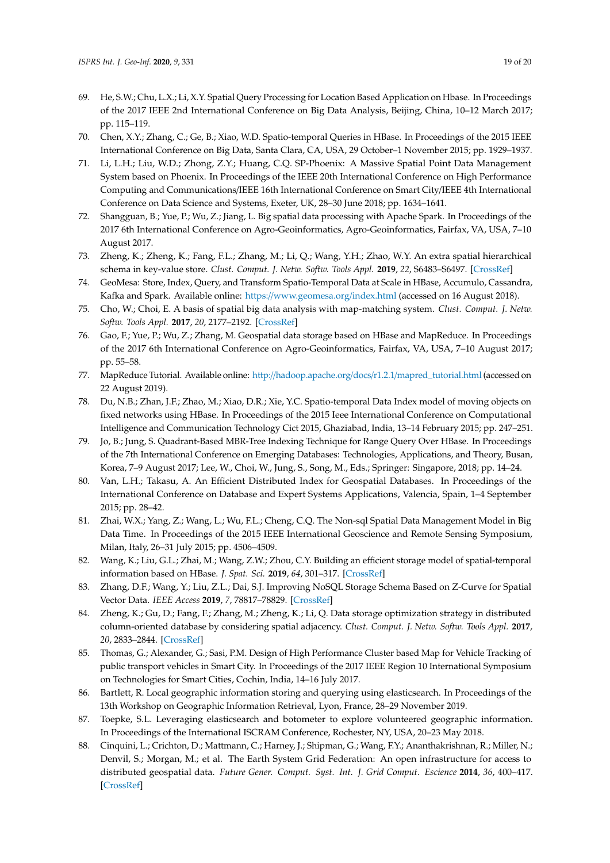- <span id="page-18-8"></span>69. He, S.W.; Chu, L.X.; Li, X.Y. Spatial Query Processing for Location Based Application on Hbase. In Proceedings of the 2017 IEEE 2nd International Conference on Big Data Analysis, Beijing, China, 10–12 March 2017; pp. 115–119.
- <span id="page-18-0"></span>70. Chen, X.Y.; Zhang, C.; Ge, B.; Xiao, W.D. Spatio-temporal Queries in HBase. In Proceedings of the 2015 IEEE International Conference on Big Data, Santa Clara, CA, USA, 29 October–1 November 2015; pp. 1929–1937.
- <span id="page-18-1"></span>71. Li, L.H.; Liu, W.D.; Zhong, Z.Y.; Huang, C.Q. SP-Phoenix: A Massive Spatial Point Data Management System based on Phoenix. In Proceedings of the IEEE 20th International Conference on High Performance Computing and Communications/IEEE 16th International Conference on Smart City/IEEE 4th International Conference on Data Science and Systems, Exeter, UK, 28–30 June 2018; pp. 1634–1641.
- <span id="page-18-2"></span>72. Shangguan, B.; Yue, P.; Wu, Z.; Jiang, L. Big spatial data processing with Apache Spark. In Proceedings of the 2017 6th International Conference on Agro-Geoinformatics, Agro-Geoinformatics, Fairfax, VA, USA, 7–10 August 2017.
- <span id="page-18-3"></span>73. Zheng, K.; Zheng, K.; Fang, F.L.; Zhang, M.; Li, Q.; Wang, Y.H.; Zhao, W.Y. An extra spatial hierarchical schema in key-value store. *Clust. Comput. J. Netw. Softw. Tools Appl.* **2019**, *22*, S6483–S6497. [\[CrossRef\]](http://dx.doi.org/10.1007/s10586-018-2270-4)
- <span id="page-18-4"></span>74. GeoMesa: Store, Index, Query, and Transform Spatio-Temporal Data at Scale in HBase, Accumulo, Cassandra, Kafka and Spark. Available online: https://[www.geomesa.org](https://www.geomesa.org/index.html)/index.html (accessed on 16 August 2018).
- <span id="page-18-5"></span>75. Cho, W.; Choi, E. A basis of spatial big data analysis with map-matching system. *Clust. Comput. J. Netw. Softw. Tools Appl.* **2017**, *20*, 2177–2192. [\[CrossRef\]](http://dx.doi.org/10.1007/s10586-017-1014-1)
- <span id="page-18-6"></span>76. Gao, F.; Yue, P.; Wu, Z.; Zhang, M. Geospatial data storage based on HBase and MapReduce. In Proceedings of the 2017 6th International Conference on Agro-Geoinformatics, Fairfax, VA, USA, 7–10 August 2017; pp. 55–58.
- <span id="page-18-7"></span>77. MapReduce Tutorial. Available online: http://hadoop.apache.org/docs/r1.2.1/[mapred\\_tutorial.html](http://hadoop.apache.org/docs/r1.2.1/mapred_tutorial.html) (accessed on 22 August 2019).
- <span id="page-18-9"></span>78. Du, N.B.; Zhan, J.F.; Zhao, M.; Xiao, D.R.; Xie, Y.C. Spatio-temporal Data Index model of moving objects on fixed networks using HBase. In Proceedings of the 2015 Ieee International Conference on Computational Intelligence and Communication Technology Cict 2015, Ghaziabad, India, 13–14 February 2015; pp. 247–251.
- <span id="page-18-10"></span>79. Jo, B.; Jung, S. Quadrant-Based MBR-Tree Indexing Technique for Range Query Over HBase. In Proceedings of the 7th International Conference on Emerging Databases: Technologies, Applications, and Theory, Busan, Korea, 7–9 August 2017; Lee, W., Choi, W., Jung, S., Song, M., Eds.; Springer: Singapore, 2018; pp. 14–24.
- <span id="page-18-11"></span>80. Van, L.H.; Takasu, A. An Efficient Distributed Index for Geospatial Databases. In Proceedings of the International Conference on Database and Expert Systems Applications, Valencia, Spain, 1–4 September 2015; pp. 28–42.
- <span id="page-18-12"></span>81. Zhai, W.X.; Yang, Z.; Wang, L.; Wu, F.L.; Cheng, C.Q. The Non-sql Spatial Data Management Model in Big Data Time. In Proceedings of the 2015 IEEE International Geoscience and Remote Sensing Symposium, Milan, Italy, 26–31 July 2015; pp. 4506–4509.
- <span id="page-18-19"></span>82. Wang, K.; Liu, G.L.; Zhai, M.; Wang, Z.W.; Zhou, C.Y. Building an efficient storage model of spatial-temporal information based on HBase. *J. Spat. Sci.* **2019**, *64*, 301–317. [\[CrossRef\]](http://dx.doi.org/10.1080/14498596.2018.1440648)
- <span id="page-18-13"></span>83. Zhang, D.F.; Wang, Y.; Liu, Z.L.; Dai, S.J. Improving NoSQL Storage Schema Based on Z-Curve for Spatial Vector Data. *IEEE Access* **2019**, *7*, 78817–78829. [\[CrossRef\]](http://dx.doi.org/10.1109/ACCESS.2019.2922693)
- <span id="page-18-14"></span>84. Zheng, K.; Gu, D.; Fang, F.; Zhang, M.; Zheng, K.; Li, Q. Data storage optimization strategy in distributed column-oriented database by considering spatial adjacency. *Clust. Comput. J. Netw. Softw. Tools Appl.* **2017**, *20*, 2833–2844. [\[CrossRef\]](http://dx.doi.org/10.1007/s10586-017-1081-3)
- <span id="page-18-15"></span>85. Thomas, G.; Alexander, G.; Sasi, P.M. Design of High Performance Cluster based Map for Vehicle Tracking of public transport vehicles in Smart City. In Proceedings of the 2017 IEEE Region 10 International Symposium on Technologies for Smart Cities, Cochin, India, 14–16 July 2017.
- <span id="page-18-16"></span>86. Bartlett, R. Local geographic information storing and querying using elasticsearch. In Proceedings of the 13th Workshop on Geographic Information Retrieval, Lyon, France, 28–29 November 2019.
- <span id="page-18-17"></span>87. Toepke, S.L. Leveraging elasticsearch and botometer to explore volunteered geographic information. In Proceedings of the International ISCRAM Conference, Rochester, NY, USA, 20–23 May 2018.
- <span id="page-18-18"></span>88. Cinquini, L.; Crichton, D.; Mattmann, C.; Harney, J.; Shipman, G.; Wang, F.Y.; Ananthakrishnan, R.; Miller, N.; Denvil, S.; Morgan, M.; et al. The Earth System Grid Federation: An open infrastructure for access to distributed geospatial data. *Future Gener. Comput. Syst. Int. J. Grid Comput. Escience* **2014**, *36*, 400–417. [\[CrossRef\]](http://dx.doi.org/10.1016/j.future.2013.07.002)